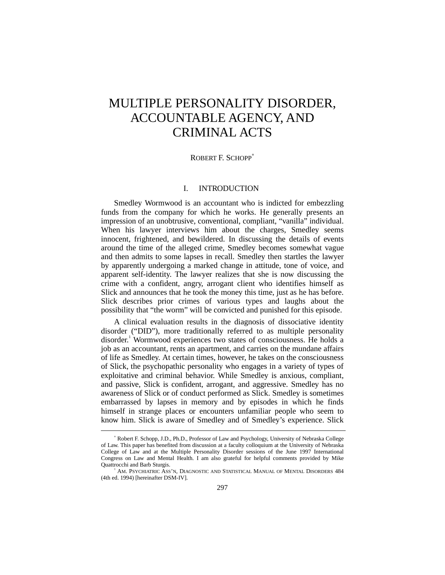# MULTIPLE PERSONALITY DISORDER, ACCOUNTABLE AGENCY, AND CRIMINAL ACTS

## ROBERT F. SCHOPP<sup>\*</sup>

# I. INTRODUCTION

Smedley Wormwood is an accountant who is indicted for embezzling funds from the company for which he works. He generally presents an impression of an unobtrusive, conventional, compliant, "vanilla" individual. When his lawyer interviews him about the charges, Smedley seems innocent, frightened, and bewildered. In discussing the details of events around the time of the alleged crime, Smedley becomes somewhat vague and then admits to some lapses in recall. Smedley then startles the lawyer by apparently undergoing a marked change in attitude, tone of voice, and apparent self-identity. The lawyer realizes that she is now discussing the crime with a confident, angry, arrogant client who identifies himself as Slick and announces that he took the money this time, just as he has before. Slick describes prior crimes of various types and laughs about the possibility that "the worm" will be convicted and punished for this episode.

A clinical evaluation results in the diagnosis of dissociative identity disorder ("DID"), more traditionally referred to as multiple personality disorder.<sup>1</sup> Wormwood experiences two states of consciousness. He holds a job as an accountant, rents an apartment, and carries on the mundane affairs of life as Smedley. At certain times, however, he takes on the consciousness of Slick, the psychopathic personality who engages in a variety of types of exploitative and criminal behavior. While Smedley is anxious, compliant, and passive, Slick is confident, arrogant, and aggressive. Smedley has no awareness of Slick or of conduct performed as Slick. Smedley is sometimes embarrassed by lapses in memory and by episodes in which he finds himself in strange places or encounters unfamiliar people who seem to know him. Slick is aware of Smedley and of Smedley's experience. Slick

-

<sup>∗</sup> Robert F. Schopp, J.D., Ph.D., Professor of Law and Psychology, University of Nebraska College of Law. This paper has benefited from discussion at a faculty colloquium at the University of Nebraska College of Law and at the Multiple Personality Disorder sessions of the June 1997 International Congress on Law and Mental Health. I am also grateful for helpful comments provided by Mike Quattrocchi and Barb Sturgis.

<sup>1</sup> AM. PSYCHIATRIC ASS'N, DIAGNOSTIC AND STATISTICAL MANUAL OF MENTAL DISORDERS 484 (4th ed. 1994) [hereinafter DSM-IV].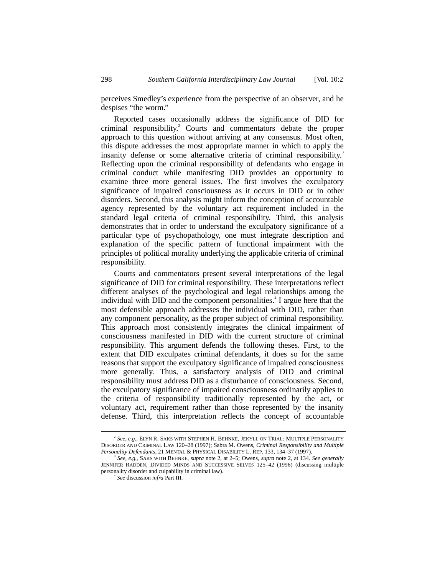perceives Smedley's experience from the perspective of an observer, and he despises "the worm."

Reported cases occasionally address the significance of DID for criminal responsibility.<sup>2</sup> Courts and commentators debate the proper approach to this question without arriving at any consensus. Most often, this dispute addresses the most appropriate manner in which to apply the insanity defense or some alternative criteria of criminal responsibility.<sup>3</sup> Reflecting upon the criminal responsibility of defendants who engage in criminal conduct while manifesting DID provides an opportunity to examine three more general issues. The first involves the exculpatory significance of impaired consciousness as it occurs in DID or in other disorders. Second, this analysis might inform the conception of accountable agency represented by the voluntary act requirement included in the standard legal criteria of criminal responsibility. Third, this analysis demonstrates that in order to understand the exculpatory significance of a particular type of psychopathology, one must integrate description and explanation of the specific pattern of functional impairment with the principles of political morality underlying the applicable criteria of criminal responsibility.

Courts and commentators present several interpretations of the legal significance of DID for criminal responsibility. These interpretations reflect different analyses of the psychological and legal relationships among the individual with DID and the component personalities.<sup>4</sup> I argue here that the most defensible approach addresses the individual with DID, rather than any component personality, as the proper subject of criminal responsibility. This approach most consistently integrates the clinical impairment of consciousness manifested in DID with the current structure of criminal responsibility. This argument defends the following theses. First, to the extent that DID exculpates criminal defendants, it does so for the same reasons that support the exculpatory significance of impaired consciousness more generally. Thus, a satisfactory analysis of DID and criminal responsibility must address DID as a disturbance of consciousness. Second, the exculpatory significance of impaired consciousness ordinarily applies to the criteria of responsibility traditionally represented by the act, or voluntary act, requirement rather than those represented by the insanity defense. Third, this interpretation reflects the concept of accountable

 $\overline{\phantom{a}}$  $S<sup>2</sup>$  See, e.g., ELYN R. SAKS WITH STEPHEN H. BEHNKE, JEKYLL ON TRIAL: MULTIPLE PERSONALITY DISORDER AND CRIMINAL LAW 120–28 (1997); Sabra M. Owens, *Criminal Responsibility and Multiple Personality Defendants*, 21 MENTAL & PHYSICAL DISABILITY L. REP. 133, 134–37 (1997).

<sup>3</sup> *See, e.g.*, SAKS WITH BEHNKE, *supra* note 2, at 2–5; Owens, *supra* note 2, at 134. *See generally* JENNIFER RADDEN, DIVIDED MINDS AND SUCCESSIVE SELVES 125–42 (1996) (discussing multiple personality disorder and culpability in criminal law). <sup>4</sup>

*See* discussion *infra* Part III.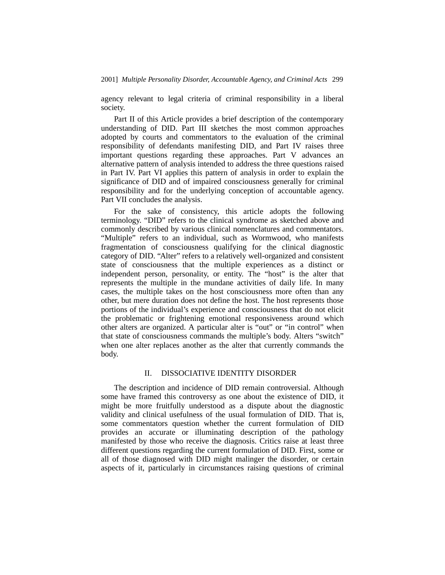agency relevant to legal criteria of criminal responsibility in a liberal society.

Part II of this Article provides a brief description of the contemporary understanding of DID. Part III sketches the most common approaches adopted by courts and commentators to the evaluation of the criminal responsibility of defendants manifesting DID, and Part IV raises three important questions regarding these approaches. Part V advances an alternative pattern of analysis intended to address the three questions raised in Part IV. Part VI applies this pattern of analysis in order to explain the significance of DID and of impaired consciousness generally for criminal responsibility and for the underlying conception of accountable agency. Part VII concludes the analysis.

For the sake of consistency, this article adopts the following terminology. "DID" refers to the clinical syndrome as sketched above and commonly described by various clinical nomenclatures and commentators. "Multiple" refers to an individual, such as Wormwood, who manifests fragmentation of consciousness qualifying for the clinical diagnostic category of DID. "Alter" refers to a relatively well-organized and consistent state of consciousness that the multiple experiences as a distinct or independent person, personality, or entity. The "host" is the alter that represents the multiple in the mundane activities of daily life. In many cases, the multiple takes on the host consciousness more often than any other, but mere duration does not define the host. The host represents those portions of the individual's experience and consciousness that do not elicit the problematic or frightening emotional responsiveness around which other alters are organized. A particular alter is "out" or "in control" when that state of consciousness commands the multiple's body. Alters "switch" when one alter replaces another as the alter that currently commands the body.

## II. DISSOCIATIVE IDENTITY DISORDER

The description and incidence of DID remain controversial. Although some have framed this controversy as one about the existence of DID, it might be more fruitfully understood as a dispute about the diagnostic validity and clinical usefulness of the usual formulation of DID. That is, some commentators question whether the current formulation of DID provides an accurate or illuminating description of the pathology manifested by those who receive the diagnosis. Critics raise at least three different questions regarding the current formulation of DID. First, some or all of those diagnosed with DID might malinger the disorder, or certain aspects of it, particularly in circumstances raising questions of criminal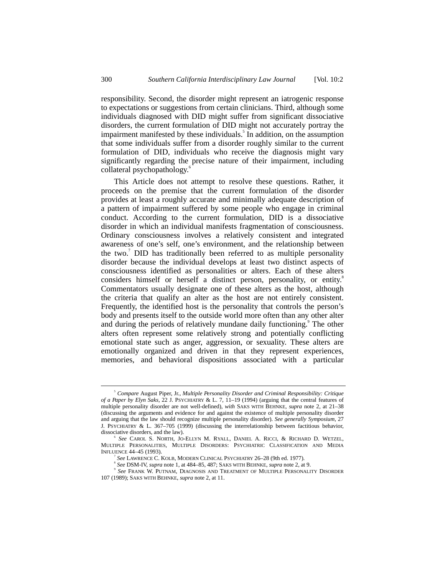responsibility. Second, the disorder might represent an iatrogenic response to expectations or suggestions from certain clinicians. Third, although some individuals diagnosed with DID might suffer from significant dissociative disorders, the current formulation of DID might not accurately portray the impairment manifested by these individuals.<sup>5</sup> In addition, on the assumption that some individuals suffer from a disorder roughly similar to the current formulation of DID, individuals who receive the diagnosis might vary significantly regarding the precise nature of their impairment, including collateral psychopathology.<sup>6</sup>

This Article does not attempt to resolve these questions. Rather, it proceeds on the premise that the current formulation of the disorder provides at least a roughly accurate and minimally adequate description of a pattern of impairment suffered by some people who engage in criminal conduct. According to the current formulation, DID is a dissociative disorder in which an individual manifests fragmentation of consciousness. Ordinary consciousness involves a relatively consistent and integrated awareness of one's self, one's environment, and the relationship between the two.<sup>7</sup> DID has traditionally been referred to as multiple personality disorder because the individual develops at least two distinct aspects of consciousness identified as personalities or alters. Each of these alters considers himself or herself a distinct person, personality, or entity.<sup>8</sup> Commentators usually designate one of these alters as the host, although the criteria that qualify an alter as the host are not entirely consistent. Frequently, the identified host is the personality that controls the person's body and presents itself to the outside world more often than any other alter and during the periods of relatively mundane daily functioning.<sup>9</sup> The other alters often represent some relatively strong and potentially conflicting emotional state such as anger, aggression, or sexuality. These alters are emotionally organized and driven in that they represent experiences, memories, and behavioral dispositions associated with a particular

 $\overline{\phantom{a}}$ <sub>5</sub> *Compare* August Piper, Jr., *Multiple Personality Disorder and Criminal Responsibility: Critique of a Paper by Elyn Saks*, 22 J. PSYCHIATRY & L. 7, 11–19 (1994) (arguing that the central features of multiple personality disorder are not well-defined), *with* SAKS WITH BEHNKE, *supra* note 2, at 21–38 (discussing the arguments and evidence for and against the existence of multiple personality disorder and arguing that the law should recognize multiple personality disorder). *See generally Symposium*, 27 J. PSYCHIATRY & L. 367–705 (1999) (discussing the interrelationship between factitious behavior, dissociative disorders, and the law).

<sup>6</sup> *See* CAROL S. NORTH, JO-ELLYN M. RYALL, DANIEL A. RICCI, & RICHARD D. WETZEL, MULTIPLE PERSONALITIES, MULTIPLE DISORDERS: PSYCHIATRIC CLASSIFICATION AND MEDIA INFLUENCE 44–45 (1993).

<sup>7</sup> See LAWRENCE C. KOLB, MODERN CLINICAL PSYCHIATRY 26-28 (9th ed. 1977).

*See* DSM-IV, *supra* note 1, at 484–85, 487; SAKS WITH BEHNKE, *supra* note 2, at 9.

<sup>9</sup> *See* FRANK W. PUTNAM, DIAGNOSIS AND TREATMENT OF MULTIPLE PERSONALITY DISORDER 107 (1989); SAKS WITH BEHNKE, *supra* note 2, at 11.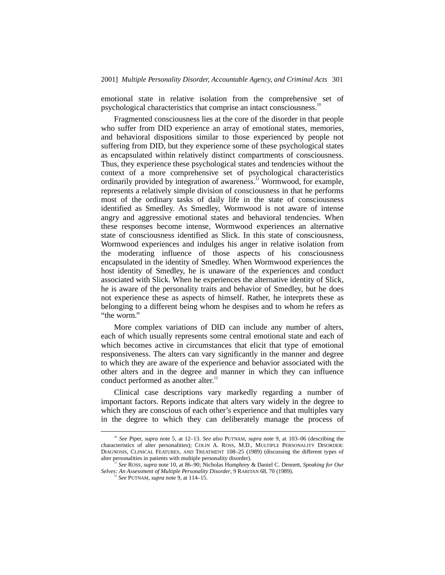emotional state in relative isolation from the comprehensive set of psychological characteristics that comprise an intact consciousness.<sup>1</sup>

Fragmented consciousness lies at the core of the disorder in that people who suffer from DID experience an array of emotional states, memories, and behavioral dispositions similar to those experienced by people not suffering from DID, but they experience some of these psychological states as encapsulated within relatively distinct compartments of consciousness. Thus, they experience these psychological states and tendencies without the context of a more comprehensive set of psychological characteristics ordinarily provided by integration of awareness.<sup>11</sup> Wormwood, for example, represents a relatively simple division of consciousness in that he performs most of the ordinary tasks of daily life in the state of consciousness identified as Smedley. As Smedley, Wormwood is not aware of intense angry and aggressive emotional states and behavioral tendencies. When these responses become intense, Wormwood experiences an alternative state of consciousness identified as Slick. In this state of consciousness, Wormwood experiences and indulges his anger in relative isolation from the moderating influence of those aspects of his consciousness encapsulated in the identity of Smedley. When Wormwood experiences the host identity of Smedley, he is unaware of the experiences and conduct associated with Slick. When he experiences the alternative identity of Slick, he is aware of the personality traits and behavior of Smedley, but he does not experience these as aspects of himself. Rather, he interprets these as belonging to a different being whom he despises and to whom he refers as "the worm."

More complex variations of DID can include any number of alters, each of which usually represents some central emotional state and each of which becomes active in circumstances that elicit that type of emotional responsiveness. The alters can vary significantly in the manner and degree to which they are aware of the experience and behavior associated with the other alters and in the degree and manner in which they can influence conduct performed as another alter.<sup>12</sup>

Clinical case descriptions vary markedly regarding a number of important factors. Reports indicate that alters vary widely in the degree to which they are conscious of each other's experience and that multiples vary in the degree to which they can deliberately manage the process of

 <sup>10</sup> *See* Piper, *supra* note 5, at 12–13. *See also* PUTNAM, *supra* note 9, at 103–06 (describing the characteristics of alter personalities); COLIN A. ROSS, M.D., MULTIPLE PERSONALITY DISORDER: DIAGNOSIS, CLINICAL FEATURES, AND TREATMENT 108-25 (1989) (discussing the different types of alter personalities in patients with multiple personality disorder).

See ROSS, *supra* note 10, at 86–90; Nicholas Humphrey & Daniel C. Dennett, *Speaking for Our Selves: An Assessment of Multiple Personality Disorder*, 9 RARITAN 68, 70 (1989). <sup>12</sup> *See* PUTNAM, *supra* note 9, at 114–15.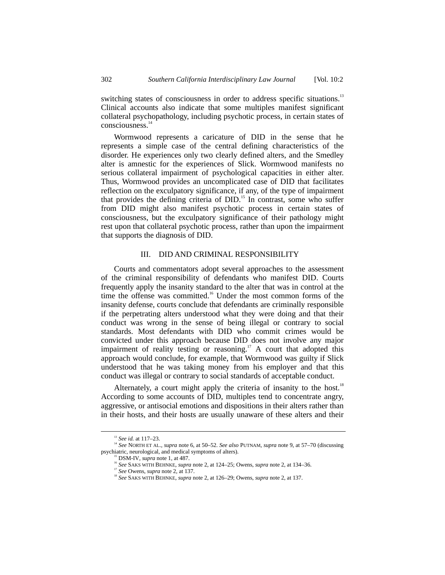switching states of consciousness in order to address specific situations.<sup>13</sup> Clinical accounts also indicate that some multiples manifest significant collateral psychopathology, including psychotic process, in certain states of consciousness.14

Wormwood represents a caricature of DID in the sense that he represents a simple case of the central defining characteristics of the disorder. He experiences only two clearly defined alters, and the Smedley alter is amnestic for the experiences of Slick. Wormwood manifests no serious collateral impairment of psychological capacities in either alter. Thus, Wormwood provides an uncomplicated case of DID that facilitates reflection on the exculpatory significance, if any, of the type of impairment that provides the defining criteria of DID.<sup>15</sup> In contrast, some who suffer from DID might also manifest psychotic process in certain states of consciousness, but the exculpatory significance of their pathology might rest upon that collateral psychotic process, rather than upon the impairment that supports the diagnosis of DID.

#### III. DID AND CRIMINAL RESPONSIBILITY

Courts and commentators adopt several approaches to the assessment of the criminal responsibility of defendants who manifest DID. Courts frequently apply the insanity standard to the alter that was in control at the time the offense was committed.<sup>16</sup> Under the most common forms of the insanity defense, courts conclude that defendants are criminally responsible if the perpetrating alters understood what they were doing and that their conduct was wrong in the sense of being illegal or contrary to social standards. Most defendants with DID who commit crimes would be convicted under this approach because DID does not involve any major impairment of reality testing or reasoning.<sup>17</sup> A court that adopted this approach would conclude, for example, that Wormwood was guilty if Slick understood that he was taking money from his employer and that this conduct was illegal or contrary to social standards of acceptable conduct.

Alternately, a court might apply the criteria of insanity to the host.<sup>18</sup> According to some accounts of DID, multiples tend to concentrate angry, aggressive, or antisocial emotions and dispositions in their alters rather than in their hosts, and their hosts are usually unaware of these alters and their

<sup>&</sup>lt;sup>13</sup> *See id.* at 117–23.<br><sup>14</sup> *See* NORTH ET AL., *supra* note 6, at 50–52. *See also* PUTNAM, *supra* note 9, at 57–70 (discussing psychiatric, neurological, and medical symptoms of alters).<br><sup>15</sup> DSM-IV, *supra* note 1, at 487.

<sup>&</sup>lt;sup>16</sup> See SAKS WITH BEHNKE, *supra* note 2, at 124–25; Owens, *supra* note 2, at 134–36.<br><sup>17</sup> See Owens, *supra* note 2, at 137.

<sup>&</sup>lt;sup>18</sup> See SAKS WITH BEHNKE, *supra* note 2, at 126–29; Owens, *supra* note 2, at 137.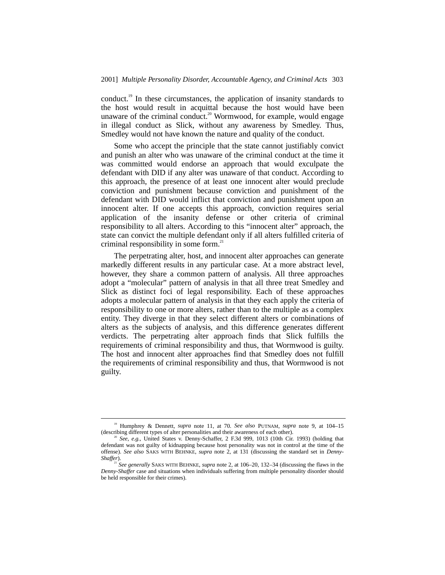conduct.<sup>19</sup> In these circumstances, the application of insanity standards to the host would result in acquittal because the host would have been unaware of the criminal conduct.<sup>20</sup> Wormwood, for example, would engage in illegal conduct as Slick, without any awareness by Smedley. Thus, Smedley would not have known the nature and quality of the conduct.

Some who accept the principle that the state cannot justifiably convict and punish an alter who was unaware of the criminal conduct at the time it was committed would endorse an approach that would exculpate the defendant with DID if any alter was unaware of that conduct. According to this approach, the presence of at least one innocent alter would preclude conviction and punishment because conviction and punishment of the defendant with DID would inflict that conviction and punishment upon an innocent alter. If one accepts this approach, conviction requires serial application of the insanity defense or other criteria of criminal responsibility to all alters. According to this "innocent alter" approach, the state can convict the multiple defendant only if all alters fulfilled criteria of criminal responsibility in some form. $^{21}$ 

The perpetrating alter, host, and innocent alter approaches can generate markedly different results in any particular case. At a more abstract level, however, they share a common pattern of analysis. All three approaches adopt a "molecular" pattern of analysis in that all three treat Smedley and Slick as distinct foci of legal responsibility. Each of these approaches adopts a molecular pattern of analysis in that they each apply the criteria of responsibility to one or more alters, rather than to the multiple as a complex entity. They diverge in that they select different alters or combinations of alters as the subjects of analysis, and this difference generates different verdicts. The perpetrating alter approach finds that Slick fulfills the requirements of criminal responsibility and thus, that Wormwood is guilty. The host and innocent alter approaches find that Smedley does not fulfill the requirements of criminal responsibility and thus, that Wormwood is not guilty.

 <sup>19</sup> Humphrey & Dennett, *supra* note 11, at 70. *See also* PUTNAM, *supra* note 9, at 104–15 (describing different types of alter personalities and their awareness of each other).

<sup>20</sup> *See, e.g.*, United States v. Denny-Schaffer, 2 F.3d 999, 1013 (10th Cir. 1993) (holding that defendant was not guilty of kidnapping because host personality was not in control at the time of the offense). *See also* SAKS WITH BEHNKE, *supra* note 2, at 131 (discussing the standard set in *Denny-*

<sup>&</sup>lt;sup>21</sup> See generally SAKS WITH BEHNKE, *supra* note 2, at 106–20, 132–34 (discussing the flaws in the *Denny-Shaffer* case and situations when individuals suffering from multiple personality disorder should be held responsible for their crimes).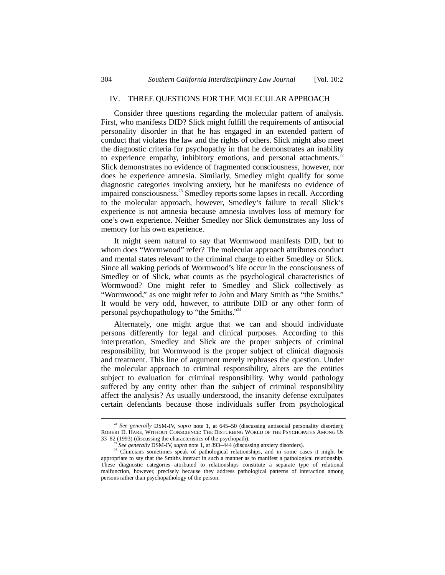#### IV. THREE QUESTIONS FOR THE MOLECULAR APPROACH

Consider three questions regarding the molecular pattern of analysis. First, who manifests DID? Slick might fulfill the requirements of antisocial personality disorder in that he has engaged in an extended pattern of conduct that violates the law and the rights of others. Slick might also meet the diagnostic criteria for psychopathy in that he demonstrates an inability to experience empathy, inhibitory emotions, and personal attachments. $2^2$ Slick demonstrates no evidence of fragmented consciousness, however, nor does he experience amnesia. Similarly, Smedley might qualify for some diagnostic categories involving anxiety, but he manifests no evidence of impaired consciousness.<sup>23</sup> Smedley reports some lapses in recall. According to the molecular approach, however, Smedley's failure to recall Slick's experience is not amnesia because amnesia involves loss of memory for one's own experience. Neither Smedley nor Slick demonstrates any loss of memory for his own experience.

It might seem natural to say that Wormwood manifests DID, but to whom does "Wormwood" refer? The molecular approach attributes conduct and mental states relevant to the criminal charge to either Smedley or Slick. Since all waking periods of Wormwood's life occur in the consciousness of Smedley or of Slick, what counts as the psychological characteristics of Wormwood? One might refer to Smedley and Slick collectively as "Wormwood," as one might refer to John and Mary Smith as "the Smiths." It would be very odd, however, to attribute DID or any other form of personal psychopathology to "the Smiths."<sup>24</sup>

Alternately, one might argue that we can and should individuate persons differently for legal and clinical purposes. According to this interpretation, Smedley and Slick are the proper subjects of criminal responsibility, but Wormwood is the proper subject of clinical diagnosis and treatment. This line of argument merely rephrases the question. Under the molecular approach to criminal responsibility, alters are the entities subject to evaluation for criminal responsibility. Why would pathology suffered by any entity other than the subject of criminal responsibility affect the analysis? As usually understood, the insanity defense exculpates certain defendants because those individuals suffer from psychological

<sup>&</sup>lt;sup>22</sup> See generally DSM-IV, *supra* note 1, at 645-50 (discussing antisocial personality disorder); ROBERT D. HARE, WITHOUT CONSCIENCE: THE DISTURBING WORLD OF THE PSYCHOPATHS AMONG US 33-82 (1993) (discussing the characteristics of the psychopath).

<sup>&</sup>lt;sup>23</sup> See generally DSM-IV, supra note 1, at 393–444 (discussing anxiety disorders).<br><sup>24</sup> Clinicians sometimes speak of pathological relationships, and in some cases it might be appropriate to say that the Smiths interact in such a manner as to manifest a pathological relationship. These diagnostic categories attributed to relationships constitute a separate type of relational malfunction, however, precisely because they address pathological patterns of interaction among persons rather than psychopathology of the person.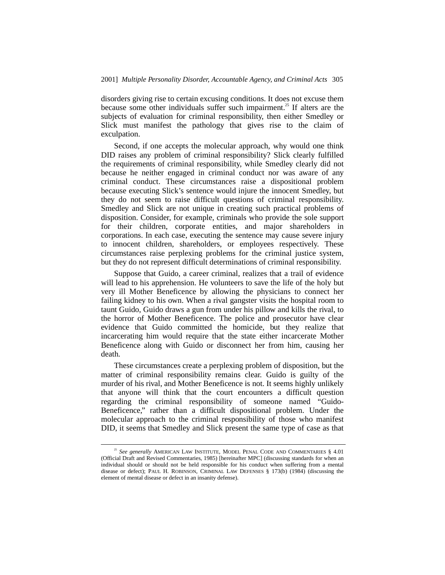disorders giving rise to certain excusing conditions. It does not excuse them because some other individuals suffer such impairment.<sup>25</sup> If alters are the subjects of evaluation for criminal responsibility, then either Smedley or Slick must manifest the pathology that gives rise to the claim of exculpation.

Second, if one accepts the molecular approach, why would one think DID raises any problem of criminal responsibility? Slick clearly fulfilled the requirements of criminal responsibility, while Smedley clearly did not because he neither engaged in criminal conduct nor was aware of any criminal conduct. These circumstances raise a dispositional problem because executing Slick's sentence would injure the innocent Smedley, but they do not seem to raise difficult questions of criminal responsibility. Smedley and Slick are not unique in creating such practical problems of disposition. Consider, for example, criminals who provide the sole support for their children, corporate entities, and major shareholders in corporations. In each case, executing the sentence may cause severe injury to innocent children, shareholders, or employees respectively. These circumstances raise perplexing problems for the criminal justice system, but they do not represent difficult determinations of criminal responsibility.

Suppose that Guido, a career criminal, realizes that a trail of evidence will lead to his apprehension. He volunteers to save the life of the holy but very ill Mother Beneficence by allowing the physicians to connect her failing kidney to his own. When a rival gangster visits the hospital room to taunt Guido, Guido draws a gun from under his pillow and kills the rival, to the horror of Mother Beneficence. The police and prosecutor have clear evidence that Guido committed the homicide, but they realize that incarcerating him would require that the state either incarcerate Mother Beneficence along with Guido or disconnect her from him, causing her death.

These circumstances create a perplexing problem of disposition, but the matter of criminal responsibility remains clear. Guido is guilty of the murder of his rival, and Mother Beneficence is not. It seems highly unlikely that anyone will think that the court encounters a difficult question regarding the criminal responsibility of someone named "Guido-Beneficence," rather than a difficult dispositional problem. Under the molecular approach to the criminal responsibility of those who manifest DID, it seems that Smedley and Slick present the same type of case as that

<sup>&</sup>lt;sup>25</sup> See generally AMERICAN LAW INSTITUTE, MODEL PENAL CODE AND COMMENTARIES § 4.01 (Official Draft and Revised Commentaries, 1985) [hereinafter MPC] (discussing standards for when an individual should or should not be held responsible for his conduct when suffering from a mental disease or defect); PAUL H. ROBINSON, CRIMINAL LAW DEFENSES § 173(b) (1984) (discussing the element of mental disease or defect in an insanity defense).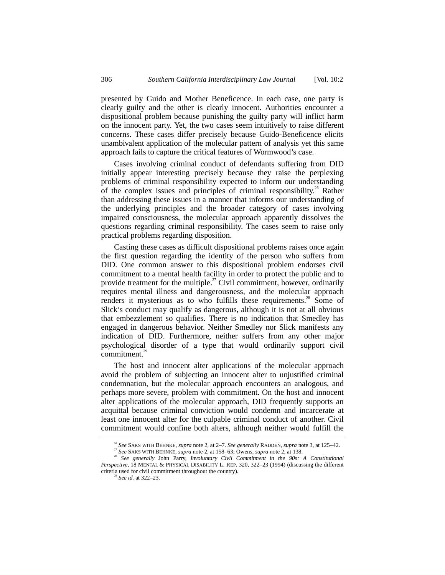presented by Guido and Mother Beneficence. In each case, one party is clearly guilty and the other is clearly innocent. Authorities encounter a dispositional problem because punishing the guilty party will inflict harm on the innocent party. Yet, the two cases seem intuitively to raise different concerns. These cases differ precisely because Guido-Beneficence elicits unambivalent application of the molecular pattern of analysis yet this same approach fails to capture the critical features of Wormwood's case.

Cases involving criminal conduct of defendants suffering from DID initially appear interesting precisely because they raise the perplexing problems of criminal responsibility expected to inform our understanding of the complex issues and principles of criminal responsibility.<sup>26</sup> Rather than addressing these issues in a manner that informs our understanding of the underlying principles and the broader category of cases involving impaired consciousness, the molecular approach apparently dissolves the questions regarding criminal responsibility. The cases seem to raise only practical problems regarding disposition.

Casting these cases as difficult dispositional problems raises once again the first question regarding the identity of the person who suffers from DID. One common answer to this dispositional problem endorses civil commitment to a mental health facility in order to protect the public and to provide treatment for the multiple.<sup>27</sup> Civil commitment, however, ordinarily requires mental illness and dangerousness, and the molecular approach renders it mysterious as to who fulfills these requirements.<sup>28</sup> Some of Slick's conduct may qualify as dangerous, although it is not at all obvious that embezzlement so qualifies. There is no indication that Smedley has engaged in dangerous behavior. Neither Smedley nor Slick manifests any indication of DID. Furthermore, neither suffers from any other major psychological disorder of a type that would ordinarily support civil commitment. $^{29}$ 

The host and innocent alter applications of the molecular approach avoid the problem of subjecting an innocent alter to unjustified criminal condemnation, but the molecular approach encounters an analogous, and perhaps more severe, problem with commitment. On the host and innocent alter applications of the molecular approach, DID frequently supports an acquittal because criminal conviction would condemn and incarcerate at least one innocent alter for the culpable criminal conduct of another. Civil commitment would confine both alters, although neither would fulfill the

<sup>&</sup>lt;sup>26</sup> See SAKS WITH BEHNKE, *supra* note 2, at 2–7. *See generally* RADDEN, *supra* note 3, at 125–42. <sup>27</sup> See SAKS WITH BEHNKE, *supra* note 2, at 158–63; Owens, *supra* note 2, at 138.

<sup>&</sup>lt;sup>28</sup> See generally John Parry, *Involuntary Civil Commitment in the 90s: A Constitutional Perspective*, 18 MENTAL & PHYSICAL DISABILITY L. REP. 320, 322–23 (1994) (discussing the different criteria used for civil commitment throughout the country). <sup>29</sup> *See id.* at 322–23.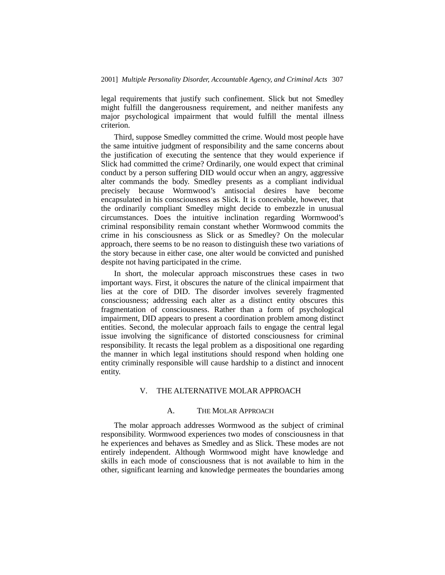legal requirements that justify such confinement. Slick but not Smedley might fulfill the dangerousness requirement, and neither manifests any major psychological impairment that would fulfill the mental illness criterion.

Third, suppose Smedley committed the crime. Would most people have the same intuitive judgment of responsibility and the same concerns about the justification of executing the sentence that they would experience if Slick had committed the crime? Ordinarily, one would expect that criminal conduct by a person suffering DID would occur when an angry, aggressive alter commands the body. Smedley presents as a compliant individual precisely because Wormwood's antisocial desires have become encapsulated in his consciousness as Slick. It is conceivable, however, that the ordinarily compliant Smedley might decide to embezzle in unusual circumstances. Does the intuitive inclination regarding Wormwood's criminal responsibility remain constant whether Wormwood commits the crime in his consciousness as Slick or as Smedley? On the molecular approach, there seems to be no reason to distinguish these two variations of the story because in either case, one alter would be convicted and punished despite not having participated in the crime.

In short, the molecular approach misconstrues these cases in two important ways. First, it obscures the nature of the clinical impairment that lies at the core of DID. The disorder involves severely fragmented consciousness; addressing each alter as a distinct entity obscures this fragmentation of consciousness. Rather than a form of psychological impairment, DID appears to present a coordination problem among distinct entities. Second, the molecular approach fails to engage the central legal issue involving the significance of distorted consciousness for criminal responsibility. It recasts the legal problem as a dispositional one regarding the manner in which legal institutions should respond when holding one entity criminally responsible will cause hardship to a distinct and innocent entity.

## V. THE ALTERNATIVE MOLAR APPROACH

## A. THE MOLAR APPROACH

The molar approach addresses Wormwood as the subject of criminal responsibility. Wormwood experiences two modes of consciousness in that he experiences and behaves as Smedley and as Slick. These modes are not entirely independent. Although Wormwood might have knowledge and skills in each mode of consciousness that is not available to him in the other, significant learning and knowledge permeates the boundaries among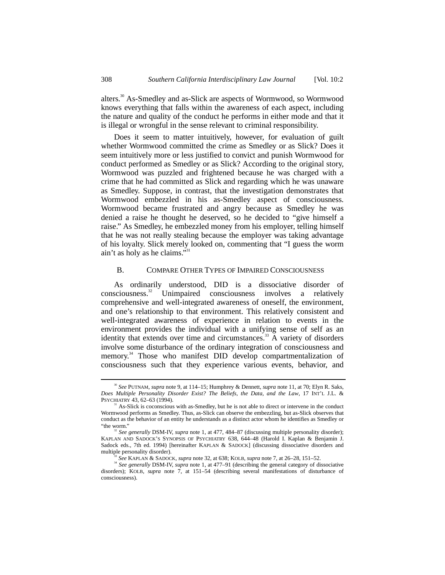alters.30 As-Smedley and as-Slick are aspects of Wormwood, so Wormwood knows everything that falls within the awareness of each aspect, including the nature and quality of the conduct he performs in either mode and that it is illegal or wrongful in the sense relevant to criminal responsibility.

Does it seem to matter intuitively, however, for evaluation of guilt whether Wormwood committed the crime as Smedley or as Slick? Does it seem intuitively more or less justified to convict and punish Wormwood for conduct performed as Smedley or as Slick? According to the original story, Wormwood was puzzled and frightened because he was charged with a crime that he had committed as Slick and regarding which he was unaware as Smedley. Suppose, in contrast, that the investigation demonstrates that Wormwood embezzled in his as-Smedley aspect of consciousness. Wormwood became frustrated and angry because as Smedley he was denied a raise he thought he deserved, so he decided to "give himself a raise." As Smedley, he embezzled money from his employer, telling himself that he was not really stealing because the employer was taking advantage of his loyalty. Slick merely looked on, commenting that "I guess the worm ain't as holy as he claims."<sup>31</sup>

#### B. COMPARE OTHER TYPES OF IMPAIRED CONSCIOUSNESS

As ordinarily understood, DID is a dissociative disorder of consciousness.<sup>32</sup> Unimpaired consciousness involves a relatively comprehensive and well-integrated awareness of oneself, the environment, and one's relationship to that environment. This relatively consistent and well-integrated awareness of experience in relation to events in the environment provides the individual with a unifying sense of self as an identity that extends over time and circumstances.<sup>33</sup> A variety of disorders involve some disturbance of the ordinary integration of consciousness and memory.<sup>34</sup> Those who manifest DID develop compartmentalization of consciousness such that they experience various events, behavior, and

 <sup>30</sup> *See* PUTNAM, *supra* note 9, at 114–15; Humphrey & Dennett, *supra* note 11, at 70; Elyn R. Saks, *Does Multiple Personality Disorder Exist? The Beliefs, the Data, and the Law*, 17 INT'L J.L. & PSYCHIATRY 43, 62–63 (1994).

 $31$  As-Slick is coconscious with as-Smedley, but he is not able to direct or intervene in the conduct Wormwood performs as Smedley. Thus, as-Slick can observe the embezzling, but as-Slick observes that conduct as the behavior of an entity he understands as a distinct actor whom he identifies as Smedley or "the worm."

See generally DSM-IV, *supra* note 1, at 477, 484–87 (discussing multiple personality disorder); KAPLAN AND SADOCK'S SYNOPSIS OF PSYCHIATRY 638, 644–48 (Harold I. Kaplan & Benjamin J. Sadock eds., 7th ed. 1994) [hereinafter KAPLAN & SADOCK] (discussing dissociative disorders and multiple personality disorder).<br>
<sup>33</sup> See KAPLAN & SADOCK, *supra* note 32, at 638; KOLB, *supra* note 7, at 26–28, 151–52.

<sup>&</sup>lt;sup>34</sup> See generally DSM-IV, *supra* note 1, at 477–91 (describing the general category of dissociative disorders); KOLB, *supra* note 7, at 151–54 (describing several manifestations of disturbance of consciousness).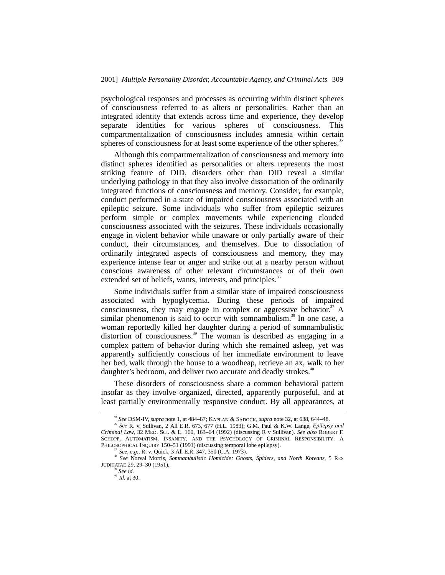psychological responses and processes as occurring within distinct spheres of consciousness referred to as alters or personalities. Rather than an integrated identity that extends across time and experience, they develop separate identities for various spheres of consciousness. This compartmentalization of consciousness includes amnesia within certain spheres of consciousness for at least some experience of the other spheres.<sup>35</sup>

Although this compartmentalization of consciousness and memory into distinct spheres identified as personalities or alters represents the most striking feature of DID, disorders other than DID reveal a similar underlying pathology in that they also involve dissociation of the ordinarily integrated functions of consciousness and memory. Consider, for example, conduct performed in a state of impaired consciousness associated with an epileptic seizure. Some individuals who suffer from epileptic seizures perform simple or complex movements while experiencing clouded consciousness associated with the seizures. These individuals occasionally engage in violent behavior while unaware or only partially aware of their conduct, their circumstances, and themselves. Due to dissociation of ordinarily integrated aspects of consciousness and memory, they may experience intense fear or anger and strike out at a nearby person without conscious awareness of other relevant circumstances or of their own extended set of beliefs, wants, interests, and principles.<sup>36</sup>

Some individuals suffer from a similar state of impaired consciousness associated with hypoglycemia. During these periods of impaired consciousness, they may engage in complex or aggressive behavior. $37$  A similar phenomenon is said to occur with somnambulism.<sup>38</sup> In one case, a woman reportedly killed her daughter during a period of somnambulistic distortion of consciousness.<sup>39</sup> The woman is described as engaging in a complex pattern of behavior during which she remained asleep, yet was apparently sufficiently conscious of her immediate environment to leave her bed, walk through the house to a woodheap, retrieve an ax, walk to her daughter's bedroom, and deliver two accurate and deadly strokes.<sup>40</sup>

These disorders of consciousness share a common behavioral pattern insofar as they involve organized, directed, apparently purposeful, and at least partially environmentally responsive conduct. By all appearances, at

 <sup>35</sup> *See* DSM-IV, *supra* note 1, at 484–87; KAPLAN & SADOCK, *supra* note 32, at 638, 644–48.

<sup>36</sup> *See* R. v. Sullivan, 2 All E.R. 673, 677 (H.L. 1983); G.M. Paul & K.W. Lange, *Epilepsy and Criminal Law*, 32 MED. SCI. & L. 160, 163–64 (1992) (discussing R v Sullivan). *See also* ROBERT F. SCHOPP, AUTOMATISM, INSANITY, AND THE PSYCHOLOGY OF CRIMINAL RESPONSIBILITY: A PHILOSOPHICAL INQUIRY 150–51 (1991) (discussing temporal lobe epilepsy). <sup>37</sup> *See, e.g.*, R. v. Quick, 3 All E.R. 347, 350 (C.A. 1973).

<sup>38</sup> *See* Norval Morris, *Somnambulistic Homicide: Ghosts, Spiders, and North Koreans*, 5 RES JUDICATAE 29, 29–30 (1951).

<sup>39</sup> *See id.*

 $^{40}$  *Id.* at 30.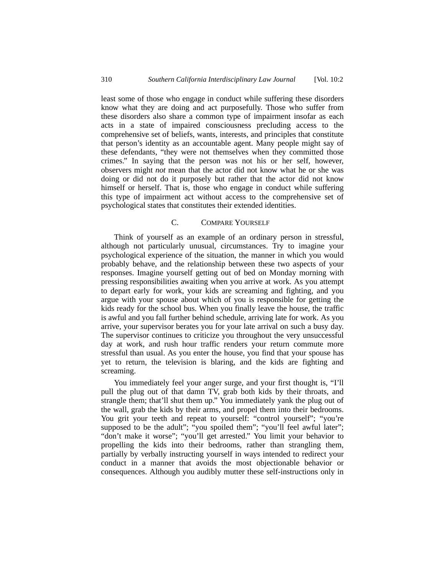least some of those who engage in conduct while suffering these disorders know what they are doing and act purposefully. Those who suffer from these disorders also share a common type of impairment insofar as each acts in a state of impaired consciousness precluding access to the comprehensive set of beliefs, wants, interests, and principles that constitute that person's identity as an accountable agent. Many people might say of these defendants, "they were not themselves when they committed those crimes." In saying that the person was not his or her self, however, observers might *not* mean that the actor did not know what he or she was doing or did not do it purposely but rather that the actor did not know himself or herself. That is, those who engage in conduct while suffering this type of impairment act without access to the comprehensive set of psychological states that constitutes their extended identities.

## C. COMPARE YOURSELF

Think of yourself as an example of an ordinary person in stressful, although not particularly unusual, circumstances. Try to imagine your psychological experience of the situation, the manner in which you would probably behave, and the relationship between these two aspects of your responses. Imagine yourself getting out of bed on Monday morning with pressing responsibilities awaiting when you arrive at work. As you attempt to depart early for work, your kids are screaming and fighting, and you argue with your spouse about which of you is responsible for getting the kids ready for the school bus. When you finally leave the house, the traffic is awful and you fall further behind schedule, arriving late for work. As you arrive, your supervisor berates you for your late arrival on such a busy day. The supervisor continues to criticize you throughout the very unsuccessful day at work, and rush hour traffic renders your return commute more stressful than usual. As you enter the house, you find that your spouse has yet to return, the television is blaring, and the kids are fighting and screaming.

You immediately feel your anger surge, and your first thought is, "I'll pull the plug out of that damn TV, grab both kids by their throats, and strangle them; that'll shut them up." You immediately yank the plug out of the wall, grab the kids by their arms, and propel them into their bedrooms. You grit your teeth and repeat to yourself: "control yourself"; "you're supposed to be the adult"; "you spoiled them"; "you'll feel awful later"; "don't make it worse"; "you'll get arrested." You limit your behavior to propelling the kids into their bedrooms, rather than strangling them, partially by verbally instructing yourself in ways intended to redirect your conduct in a manner that avoids the most objectionable behavior or consequences. Although you audibly mutter these self-instructions only in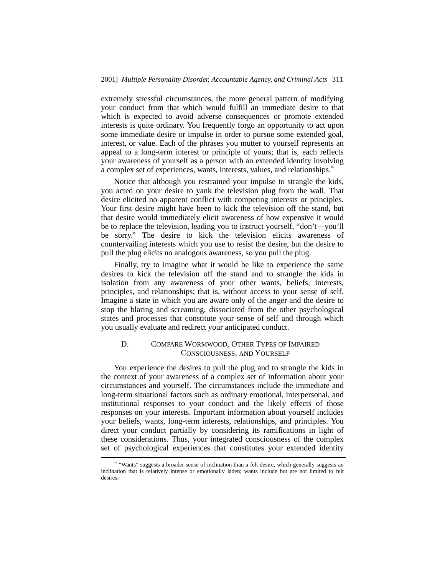extremely stressful circumstances, the more general pattern of modifying your conduct from that which would fulfill an immediate desire to that which is expected to avoid adverse consequences or promote extended interests is quite ordinary. You frequently forgo an opportunity to act upon some immediate desire or impulse in order to pursue some extended goal, interest, or value. Each of the phrases you mutter to yourself represents an appeal to a long-term interest or principle of yours; that is, each reflects your awareness of yourself as a person with an extended identity involving a complex set of experiences, wants, interests, values, and relationships.<sup>41</sup>

Notice that although you restrained your impulse to strangle the kids, you acted on your desire to yank the television plug from the wall. That desire elicited no apparent conflict with competing interests or principles. Your first desire might have been to kick the television off the stand, but that desire would immediately elicit awareness of how expensive it would be to replace the television, leading you to instruct yourself, "don't—you'll be sorry." The desire to kick the television elicits awareness of countervailing interests which you use to resist the desire, but the desire to pull the plug elicits no analogous awareness, so you pull the plug.

Finally, try to imagine what it would be like to experience the same desires to kick the television off the stand and to strangle the kids in isolation from any awareness of your other wants, beliefs, interests, principles, and relationships; that is, without access to your sense of self. Imagine a state in which you are aware only of the anger and the desire to stop the blaring and screaming, dissociated from the other psychological states and processes that constitute your sense of self and through which you usually evaluate and redirect your anticipated conduct.

## D. COMPARE WORMWOOD, OTHER TYPES OF IMPAIRED CONSCIOUSNESS, AND YOURSELF

You experience the desires to pull the plug and to strangle the kids in the context of your awareness of a complex set of information about your circumstances and yourself. The circumstances include the immediate and long-term situational factors such as ordinary emotional, interpersonal, and institutional responses to your conduct and the likely effects of those responses on your interests. Important information about yourself includes your beliefs, wants, long-term interests, relationships, and principles. You direct your conduct partially by considering its ramifications in light of these considerations. Thus, your integrated consciousness of the complex set of psychological experiences that constitutes your extended identity

<sup>&</sup>lt;sup>41</sup> "Wants" suggests a broader sense of inclination than a felt desire, which generally suggests an inclination that is relatively intense or emotionally laden; wants include but are not limited to felt desires.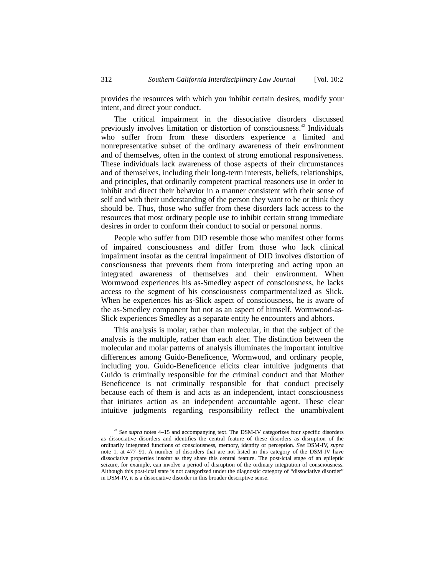provides the resources with which you inhibit certain desires, modify your intent, and direct your conduct.

The critical impairment in the dissociative disorders discussed previously involves limitation or distortion of consciousness.<sup>42</sup> Individuals who suffer from from these disorders experience a limited and nonrepresentative subset of the ordinary awareness of their environment and of themselves, often in the context of strong emotional responsiveness. These individuals lack awareness of those aspects of their circumstances and of themselves, including their long-term interests, beliefs, relationships, and principles, that ordinarily competent practical reasoners use in order to inhibit and direct their behavior in a manner consistent with their sense of self and with their understanding of the person they want to be or think they should be. Thus, those who suffer from these disorders lack access to the resources that most ordinary people use to inhibit certain strong immediate desires in order to conform their conduct to social or personal norms.

People who suffer from DID resemble those who manifest other forms of impaired consciousness and differ from those who lack clinical impairment insofar as the central impairment of DID involves distortion of consciousness that prevents them from interpreting and acting upon an integrated awareness of themselves and their environment. When Wormwood experiences his as-Smedley aspect of consciousness, he lacks access to the segment of his consciousness compartmentalized as Slick. When he experiences his as-Slick aspect of consciousness, he is aware of the as-Smedley component but not as an aspect of himself. Wormwood-as-Slick experiences Smedley as a separate entity he encounters and abhors.

This analysis is molar, rather than molecular, in that the subject of the analysis is the multiple, rather than each alter. The distinction between the molecular and molar patterns of analysis illuminates the important intuitive differences among Guido-Beneficence, Wormwood, and ordinary people, including you. Guido-Beneficence elicits clear intuitive judgments that Guido is criminally responsible for the criminal conduct and that Mother Beneficence is not criminally responsible for that conduct precisely because each of them is and acts as an independent, intact consciousness that initiates action as an independent accountable agent. These clear intuitive judgments regarding responsibility reflect the unambivalent

<sup>&</sup>lt;sup>42</sup> See supra notes 4–15 and accompanying text. The DSM-IV categorizes four specific disorders as dissociative disorders and identifies the central feature of these disorders as disruption of the ordinarily integrated functions of consciousness, memory, identity or perception. *See* DSM-IV, *supra* note 1, at 477–91. A number of disorders that are not listed in this category of the DSM-IV have dissociative properties insofar as they share this central feature. The post-ictal stage of an epileptic seizure, for example, can involve a period of disruption of the ordinary integration of consciousness. Although this post-ictal state is not categorized under the diagnostic category of "dissociative disorder" in DSM-IV, it is a dissociative disorder in this broader descriptive sense.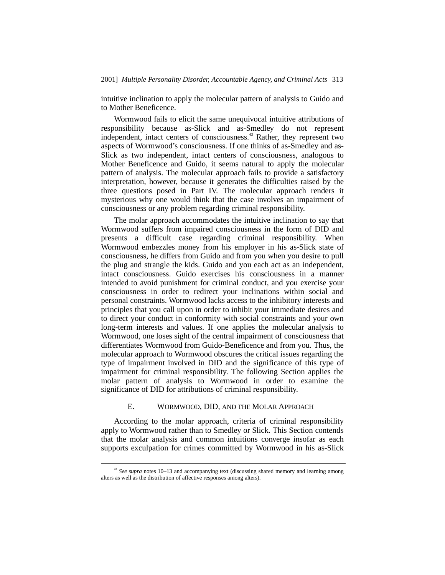intuitive inclination to apply the molecular pattern of analysis to Guido and to Mother Beneficence.

Wormwood fails to elicit the same unequivocal intuitive attributions of responsibility because as-Slick and as-Smedley do not represent independent, intact centers of consciousness.<sup>43</sup> Rather, they represent two aspects of Wormwood's consciousness. If one thinks of as-Smedley and as-Slick as two independent, intact centers of consciousness, analogous to Mother Beneficence and Guido, it seems natural to apply the molecular pattern of analysis. The molecular approach fails to provide a satisfactory interpretation, however, because it generates the difficulties raised by the three questions posed in Part IV. The molecular approach renders it mysterious why one would think that the case involves an impairment of consciousness or any problem regarding criminal responsibility.

The molar approach accommodates the intuitive inclination to say that Wormwood suffers from impaired consciousness in the form of DID and presents a difficult case regarding criminal responsibility. When Wormwood embezzles money from his employer in his as-Slick state of consciousness, he differs from Guido and from you when you desire to pull the plug and strangle the kids. Guido and you each act as an independent, intact consciousness. Guido exercises his consciousness in a manner intended to avoid punishment for criminal conduct, and you exercise your consciousness in order to redirect your inclinations within social and personal constraints. Wormwood lacks access to the inhibitory interests and principles that you call upon in order to inhibit your immediate desires and to direct your conduct in conformity with social constraints and your own long-term interests and values. If one applies the molecular analysis to Wormwood, one loses sight of the central impairment of consciousness that differentiates Wormwood from Guido-Beneficence and from you. Thus, the molecular approach to Wormwood obscures the critical issues regarding the type of impairment involved in DID and the significance of this type of impairment for criminal responsibility. The following Section applies the molar pattern of analysis to Wormwood in order to examine the significance of DID for attributions of criminal responsibility.

#### E. WORMWOOD, DID, AND THE MOLAR APPROACH

According to the molar approach, criteria of criminal responsibility apply to Wormwood rather than to Smedley or Slick. This Section contends that the molar analysis and common intuitions converge insofar as each supports exculpation for crimes committed by Wormwood in his as-Slick

<sup>&</sup>lt;sup>43</sup> See supra notes 10–13 and accompanying text (discussing shared memory and learning among alters as well as the distribution of affective responses among alters).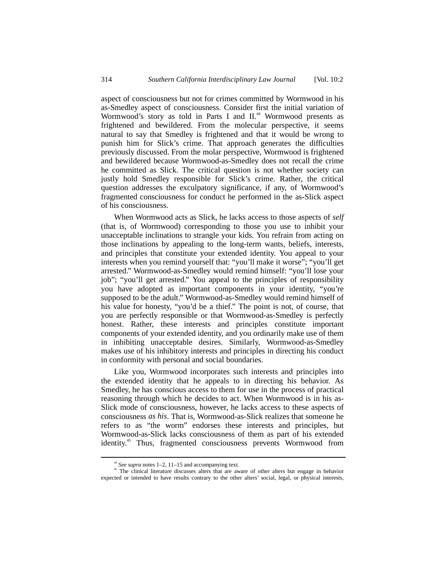aspect of consciousness but not for crimes committed by Wormwood in his as-Smedley aspect of consciousness. Consider first the initial variation of Wormwood's story as told in Parts I and II.<sup>44</sup> Wormwood presents as frightened and bewildered. From the molecular perspective, it seems natural to say that Smedley is frightened and that it would be wrong to punish him for Slick's crime. That approach generates the difficulties previously discussed. From the molar perspective, Wormwood is frightened and bewildered because Wormwood-as-Smedley does not recall the crime he committed as Slick. The critical question is not whether society can justly hold Smedley responsible for Slick's crime. Rather, the critical question addresses the exculpatory significance, if any, of Wormwood's fragmented consciousness for conduct he performed in the as-Slick aspect of his consciousness.

When Wormwood acts as Slick, he lacks access to those aspects of *self* (that is, of Wormwood) corresponding to those you use to inhibit your unacceptable inclinations to strangle your kids. You refrain from acting on those inclinations by appealing to the long-term wants, beliefs, interests, and principles that constitute your extended identity. You appeal to your interests when you remind yourself that: "you'll make it worse"; "you'll get arrested." Wormwood-as-Smedley would remind himself: "you'll lose your job"; "you'll get arrested." You appeal to the principles of responsibility you have adopted as important components in your identity, "you're supposed to be the adult." Wormwood-as-Smedley would remind himself of his value for honesty, "you'd be a thief." The point is not, of course, that you are perfectly responsible or that Wormwood-as-Smedley is perfectly honest. Rather, these interests and principles constitute important components of your extended identity, and you ordinarily make use of them in inhibiting unacceptable desires. Similarly, Wormwood-as-Smedley makes use of his inhibitory interests and principles in directing his conduct in conformity with personal and social boundaries.

Like you, Wormwood incorporates such interests and principles into the extended identity that he appeals to in directing his behavior. As Smedley, he has conscious access to them for use in the process of practical reasoning through which he decides to act. When Wormwood is in his as-Slick mode of consciousness, however, he lacks access to these aspects of consciousness *as his*. That is, Wormwood-as-Slick realizes that someone he refers to as "the worm" endorses these interests and principles, but Wormwood-as-Slick lacks consciousness of them as part of his extended identity.45 Thus, fragmented consciousness prevents Wormwood from

 $44$  *See supra* notes 1–2, 11–15 and accompanying text.

<sup>&</sup>lt;sup>45</sup> The clinical literature discusses alters that are aware of other alters but engage in behavior expected or intended to have results contrary to the other alters' social, legal, or physical interests,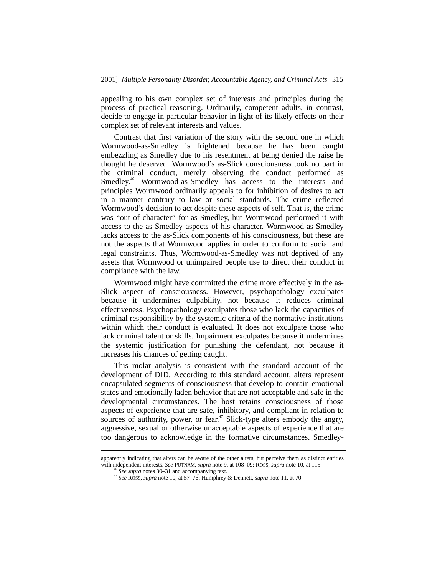appealing to his own complex set of interests and principles during the process of practical reasoning. Ordinarily, competent adults, in contrast, decide to engage in particular behavior in light of its likely effects on their complex set of relevant interests and values.

Contrast that first variation of the story with the second one in which Wormwood-as-Smedley is frightened because he has been caught embezzling as Smedley due to his resentment at being denied the raise he thought he deserved. Wormwood's as-Slick consciousness took no part in the criminal conduct, merely observing the conduct performed as Smedley.<sup>46</sup> Wormwood-as-Smedley has access to the interests and principles Wormwood ordinarily appeals to for inhibition of desires to act in a manner contrary to law or social standards. The crime reflected Wormwood's decision to act despite these aspects of self. That is, the crime was "out of character" for as-Smedley, but Wormwood performed it with access to the as-Smedley aspects of his character. Wormwood-as-Smedley lacks access to the as-Slick components of his consciousness, but these are not the aspects that Wormwood applies in order to conform to social and legal constraints. Thus, Wormwood-as-Smedley was not deprived of any assets that Wormwood or unimpaired people use to direct their conduct in compliance with the law.

Wormwood might have committed the crime more effectively in the as-Slick aspect of consciousness. However, psychopathology exculpates because it undermines culpability, not because it reduces criminal effectiveness. Psychopathology exculpates those who lack the capacities of criminal responsibility by the systemic criteria of the normative institutions within which their conduct is evaluated. It does not exculpate those who lack criminal talent or skills. Impairment exculpates because it undermines the systemic justification for punishing the defendant, not because it increases his chances of getting caught.

This molar analysis is consistent with the standard account of the development of DID. According to this standard account, alters represent encapsulated segments of consciousness that develop to contain emotional states and emotionally laden behavior that are not acceptable and safe in the developmental circumstances. The host retains consciousness of those aspects of experience that are safe, inhibitory, and compliant in relation to sources of authority, power, or fear.<sup> $47$ </sup> Slick-type alters embody the angry, aggressive, sexual or otherwise unacceptable aspects of experience that are too dangerous to acknowledge in the formative circumstances. Smedley-

apparently indicating that alters can be aware of the other alters, but perceive them as distinct entities with independent interests. *See* PUTNAM, *supra* note 9, at 108–09; ROSS, *supra* note 10, at 115.

<sup>46</sup> *See supra* notes 30–31 and accompanying text. <sup>47</sup> *See* ROSS, *supra* note 10, at 57–76; Humphrey & Dennett, *supra* note 11, at 70.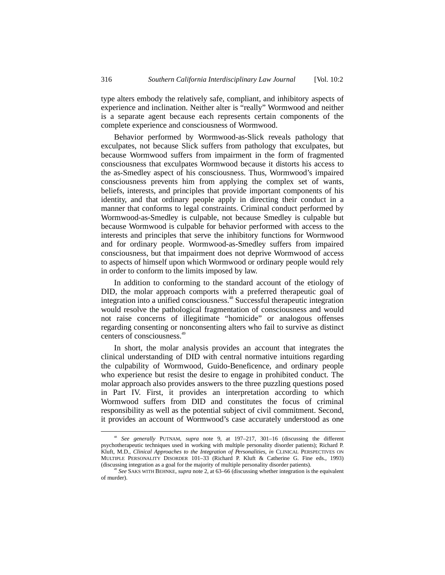type alters embody the relatively safe, compliant, and inhibitory aspects of experience and inclination. Neither alter is "really" Wormwood and neither is a separate agent because each represents certain components of the complete experience and consciousness of Wormwood.

Behavior performed by Wormwood-as-Slick reveals pathology that exculpates, not because Slick suffers from pathology that exculpates, but because Wormwood suffers from impairment in the form of fragmented consciousness that exculpates Wormwood because it distorts his access to the as-Smedley aspect of his consciousness. Thus, Wormwood's impaired consciousness prevents him from applying the complex set of wants, beliefs, interests, and principles that provide important components of his identity, and that ordinary people apply in directing their conduct in a manner that conforms to legal constraints. Criminal conduct performed by Wormwood-as-Smedley is culpable, not because Smedley is culpable but because Wormwood is culpable for behavior performed with access to the interests and principles that serve the inhibitory functions for Wormwood and for ordinary people. Wormwood-as-Smedley suffers from impaired consciousness, but that impairment does not deprive Wormwood of access to aspects of himself upon which Wormwood or ordinary people would rely in order to conform to the limits imposed by law.

In addition to conforming to the standard account of the etiology of DID, the molar approach comports with a preferred therapeutic goal of integration into a unified consciousness.<sup>48</sup> Successful therapeutic integration would resolve the pathological fragmentation of consciousness and would not raise concerns of illegitimate "homicide" or analogous offenses regarding consenting or nonconsenting alters who fail to survive as distinct centers of consciousness.<sup>49</sup>

In short, the molar analysis provides an account that integrates the clinical understanding of DID with central normative intuitions regarding the culpability of Wormwood, Guido-Beneficence, and ordinary people who experience but resist the desire to engage in prohibited conduct. The molar approach also provides answers to the three puzzling questions posed in Part IV. First, it provides an interpretation according to which Wormwood suffers from DID and constitutes the focus of criminal responsibility as well as the potential subject of civil commitment. Second, it provides an account of Wormwood's case accurately understood as one

 <sup>48</sup> *See generally* PUTNAM, *supra* note 9, at 197–217, 301–16 (discussing the different psychotherapeutic techniques used in working with multiple personality disorder patients); Richard P. Kluft, M.D., *Clinical Approaches to the Integration of Personalities*, *in* CLINICAL PERSPECTIVES ON MULTIPLE PERSONALITY DISORDER 101–33 (Richard P. Kluft & Catherine G. Fine eds., 1993) (discussing integration as a goal for the majority of multiple personality disorder patients).

<sup>49</sup> *See* SAKS WITH BEHNKE, *supra* note 2, at 63–66 (discussing whether integration is the equivalent of murder).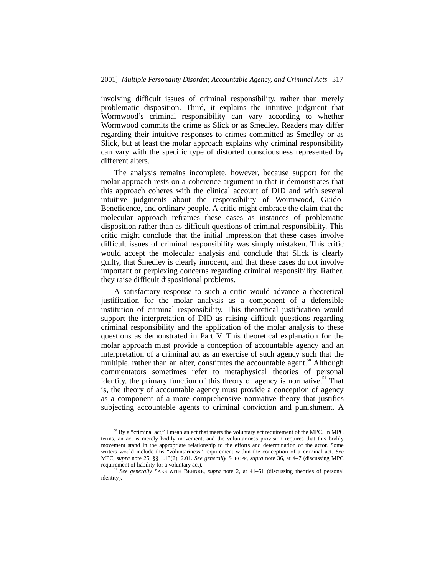involving difficult issues of criminal responsibility, rather than merely problematic disposition. Third, it explains the intuitive judgment that Wormwood's criminal responsibility can vary according to whether Wormwood commits the crime as Slick or as Smedley. Readers may differ regarding their intuitive responses to crimes committed as Smedley or as Slick, but at least the molar approach explains why criminal responsibility can vary with the specific type of distorted consciousness represented by different alters.

The analysis remains incomplete, however, because support for the molar approach rests on a coherence argument in that it demonstrates that this approach coheres with the clinical account of DID and with several intuitive judgments about the responsibility of Wormwood, Guido-Beneficence, and ordinary people. A critic might embrace the claim that the molecular approach reframes these cases as instances of problematic disposition rather than as difficult questions of criminal responsibility. This critic might conclude that the initial impression that these cases involve difficult issues of criminal responsibility was simply mistaken. This critic would accept the molecular analysis and conclude that Slick is clearly guilty, that Smedley is clearly innocent, and that these cases do not involve important or perplexing concerns regarding criminal responsibility. Rather, they raise difficult dispositional problems.

A satisfactory response to such a critic would advance a theoretical justification for the molar analysis as a component of a defensible institution of criminal responsibility. This theoretical justification would support the interpretation of DID as raising difficult questions regarding criminal responsibility and the application of the molar analysis to these questions as demonstrated in Part V. This theoretical explanation for the molar approach must provide a conception of accountable agency and an interpretation of a criminal act as an exercise of such agency such that the multiple, rather than an alter, constitutes the accountable agent.<sup>50</sup> Although commentators sometimes refer to metaphysical theories of personal identity, the primary function of this theory of agency is normative.<sup>51</sup> That is, the theory of accountable agency must provide a conception of agency as a component of a more comprehensive normative theory that justifies subjecting accountable agents to criminal conviction and punishment. A

<sup>&</sup>lt;sup>50</sup> By a "criminal act," I mean an act that meets the voluntary act requirement of the MPC. In MPC terms, an act is merely bodily movement, and the voluntariness provision requires that this bodily movement stand in the appropriate relationship to the efforts and determination of the actor. Some writers would include this "voluntariness" requirement within the conception of a criminal act. *See* MPC, *supra* note 25, §§ 1.13(2), 2.01. *See generally* SCHOPP, *supra* note 36, at 4–7 (discussing MPC requirement of liability for a voluntary act).

<sup>&</sup>lt;sup>11</sup> See generally SAKS WITH BEHNKE, *supra* note 2, at 41–51 (discussing theories of personal identity).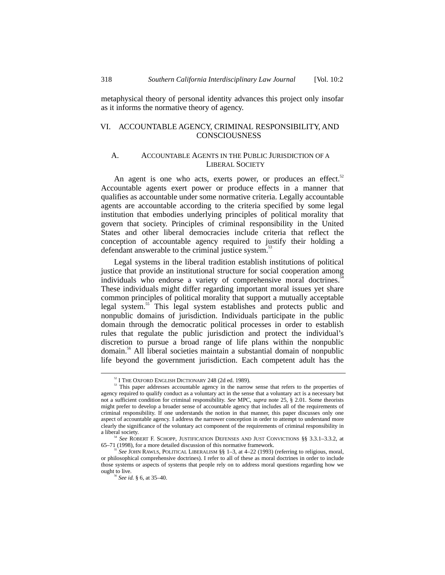metaphysical theory of personal identity advances this project only insofar as it informs the normative theory of agency.

## VI. ACCOUNTABLE AGENCY, CRIMINAL RESPONSIBILITY, AND **CONSCIOUSNESS**

## A. ACCOUNTABLE AGENTS IN THE PUBLIC JURISDICTION OF A LIBERAL SOCIETY

An agent is one who acts, exerts power, or produces an effect.<sup>52</sup> Accountable agents exert power or produce effects in a manner that qualifies as accountable under some normative criteria. Legally accountable agents are accountable according to the criteria specified by some legal institution that embodies underlying principles of political morality that govern that society. Principles of criminal responsibility in the United States and other liberal democracies include criteria that reflect the conception of accountable agency required to justify their holding a defendant answerable to the criminal justice system.<sup>53</sup>

Legal systems in the liberal tradition establish institutions of political justice that provide an institutional structure for social cooperation among individuals who endorse a variety of comprehensive moral doctrines. $54$ These individuals might differ regarding important moral issues yet share common principles of political morality that support a mutually acceptable legal system.<sup>55</sup> This legal system establishes and protects public and nonpublic domains of jurisdiction. Individuals participate in the public domain through the democratic political processes in order to establish rules that regulate the public jurisdiction and protect the individual's discretion to pursue a broad range of life plans within the nonpublic domain.56 All liberal societies maintain a substantial domain of nonpublic life beyond the government jurisdiction. Each competent adult has the

 $52$  I THE OXFORD ENGLISH DICTIONARY 248 (2d ed. 1989).  $53$  This paper addresses accountable agency in the narrow sense that refers to the properties of agency required to qualify conduct as a voluntary act in the sense that a voluntary act is a necessary but not a sufficient condition for criminal responsibility. *See* MPC, *supra* note 25, § 2.01. Some theorists might prefer to develop a broader sense of accountable agency that includes all of the requirements of criminal responsibility. If one understands the notion in that manner, this paper discusses only one aspect of accountable agency. I address the narrower conception in order to attempt to understand more clearly the significance of the voluntary act component of the requirements of criminal responsibility in a liberal society.

<sup>&</sup>lt;sup>54</sup> *See* ROBERT F. SCHOPP, JUSTIFICATION DEFENSES AND JUST CONVICTIONS §§ 3.3.1–3.3.2, at 65–71 (1998), for a more detailed discussion of this normative framework.

<sup>&</sup>lt;sup>5</sup> See JOHN RAWLS, POLITICAL LIBERALISM §§ 1–3, at 4–22 (1993) (referring to religious, moral, or philosophical comprehensive doctrines). I refer to all of these as moral doctrines in order to include those systems or aspects of systems that people rely on to address moral questions regarding how we ought to live. <sup>56</sup> *See id.* § 6, at 35–40.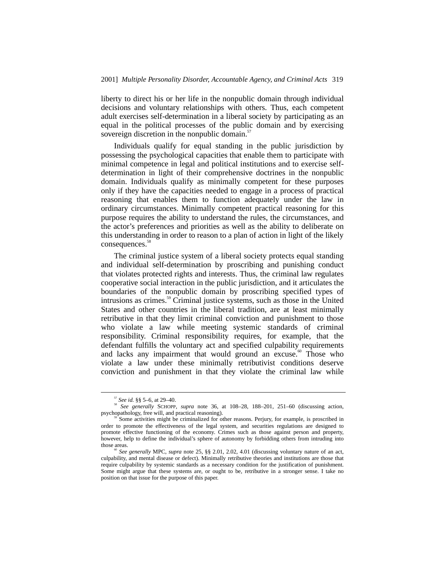liberty to direct his or her life in the nonpublic domain through individual decisions and voluntary relationships with others. Thus, each competent adult exercises self-determination in a liberal society by participating as an equal in the political processes of the public domain and by exercising sovereign discretion in the nonpublic domain. $57$ 

Individuals qualify for equal standing in the public jurisdiction by possessing the psychological capacities that enable them to participate with minimal competence in legal and political institutions and to exercise selfdetermination in light of their comprehensive doctrines in the nonpublic domain. Individuals qualify as minimally competent for these purposes only if they have the capacities needed to engage in a process of practical reasoning that enables them to function adequately under the law in ordinary circumstances. Minimally competent practical reasoning for this purpose requires the ability to understand the rules, the circumstances, and the actor's preferences and priorities as well as the ability to deliberate on this understanding in order to reason to a plan of action in light of the likely consequences.<sup>58</sup>

The criminal justice system of a liberal society protects equal standing and individual self-determination by proscribing and punishing conduct that violates protected rights and interests. Thus, the criminal law regulates cooperative social interaction in the public jurisdiction, and it articulates the boundaries of the nonpublic domain by proscribing specified types of intrusions as crimes.<sup>59</sup> Criminal justice systems, such as those in the United States and other countries in the liberal tradition, are at least minimally retributive in that they limit criminal conviction and punishment to those who violate a law while meeting systemic standards of criminal responsibility. Criminal responsibility requires, for example, that the defendant fulfills the voluntary act and specified culpability requirements and lacks any impairment that would ground an excuse.<sup>60</sup> Those who violate a law under these minimally retributivist conditions deserve conviction and punishment in that they violate the criminal law while

 <sup>57</sup> *See id.* §§ 5–6, at 29–40.

<sup>58</sup> *See generally* SCHOPP, *supra* note 36, at 108–28, 188–201, 251–60 (discussing action, psychopathology, free will, and practical reasoning).<br><sup>59</sup> Some activities might be criminalized for other reasons. Perjury, for example, is proscribed in

order to promote the effectiveness of the legal system, and securities regulations are designed to promote effective functioning of the economy. Crimes such as those against person and property, however, help to define the individual's sphere of autonomy by forbidding others from intruding into

<sup>&</sup>lt;sup>o</sup> See generally MPC, *supra* note 25, §§ 2.01, 2.02, 4.01 (discussing voluntary nature of an act, culpability, and mental disease or defect). Minimally retributive theories and institutions are those that require culpability by systemic standards as a necessary condition for the justification of punishment. Some might argue that these systems are, or ought to be, retributive in a stronger sense. I take no position on that issue for the purpose of this paper.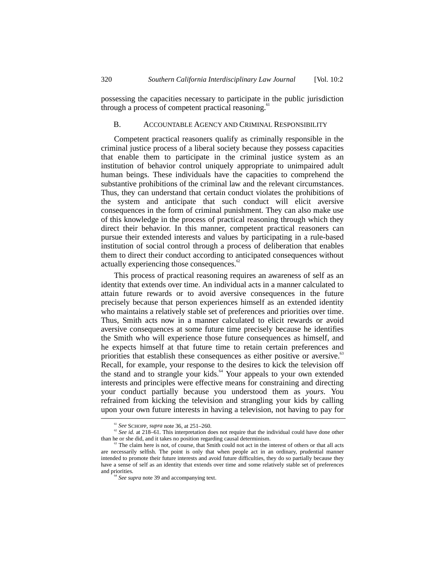possessing the capacities necessary to participate in the public jurisdiction through a process of competent practical reasoning.<sup>61</sup>

# B. ACCOUNTABLE AGENCY AND CRIMINAL RESPONSIBILITY

Competent practical reasoners qualify as criminally responsible in the criminal justice process of a liberal society because they possess capacities that enable them to participate in the criminal justice system as an institution of behavior control uniquely appropriate to unimpaired adult human beings. These individuals have the capacities to comprehend the substantive prohibitions of the criminal law and the relevant circumstances. Thus, they can understand that certain conduct violates the prohibitions of the system and anticipate that such conduct will elicit aversive consequences in the form of criminal punishment. They can also make use of this knowledge in the process of practical reasoning through which they direct their behavior. In this manner, competent practical reasoners can pursue their extended interests and values by participating in a rule-based institution of social control through a process of deliberation that enables them to direct their conduct according to anticipated consequences without actually experiencing those consequences.<sup>62</sup>

This process of practical reasoning requires an awareness of self as an identity that extends over time. An individual acts in a manner calculated to attain future rewards or to avoid aversive consequences in the future precisely because that person experiences himself as an extended identity who maintains a relatively stable set of preferences and priorities over time. Thus, Smith acts now in a manner calculated to elicit rewards or avoid aversive consequences at some future time precisely because he identifies the Smith who will experience those future consequences as himself, and he expects himself at that future time to retain certain preferences and priorities that establish these consequences as either positive or aversive.<sup>63</sup> Recall, for example, your response to the desires to kick the television off the stand and to strangle your kids. $64$  Your appeals to your own extended interests and principles were effective means for constraining and directing your conduct partially because you understood them as *yours*. You refrained from kicking the television and strangling your kids by calling upon your own future interests in having a television, not having to pay for

<sup>&</sup>lt;sup>61</sup> *See* SCHOPP, *supra* note 36, at 251–260.<br><sup>62</sup> *See id.* at 218–61. This interpretation does not require that the individual could have done other than he or she did, and it takes no position regarding causal dete

The claim here is not, of course, that Smith could not act in the interest of others or that all acts are necessarily selfish. The point is only that when people act in an ordinary, prudential manner intended to promote their future interests and avoid future difficulties, they do so partially because they have a sense of self as an identity that extends over time and some relatively stable set of preferences and priorities.<br><sup>64</sup> *See supra* note 39 and accompanying text.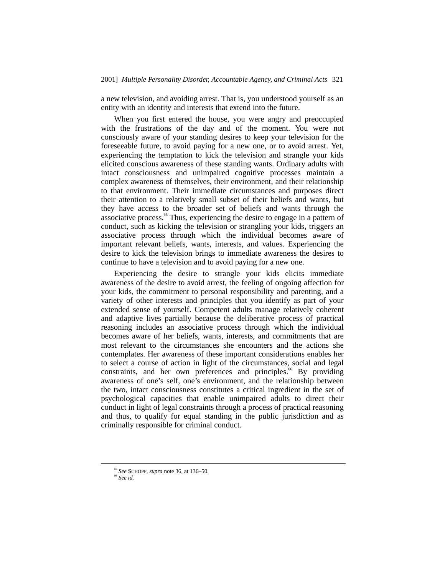a new television, and avoiding arrest. That is, you understood yourself as an entity with an identity and interests that extend into the future.

When you first entered the house, you were angry and preoccupied with the frustrations of the day and of the moment. You were not consciously aware of your standing desires to keep your television for the foreseeable future, to avoid paying for a new one, or to avoid arrest. Yet, experiencing the temptation to kick the television and strangle your kids elicited conscious awareness of these standing wants. Ordinary adults with intact consciousness and unimpaired cognitive processes maintain a complex awareness of themselves, their environment, and their relationship to that environment. Their immediate circumstances and purposes direct their attention to a relatively small subset of their beliefs and wants, but they have access to the broader set of beliefs and wants through the associative process.<sup>65</sup> Thus, experiencing the desire to engage in a pattern of conduct, such as kicking the television or strangling your kids, triggers an associative process through which the individual becomes aware of important relevant beliefs, wants, interests, and values. Experiencing the desire to kick the television brings to immediate awareness the desires to continue to have a television and to avoid paying for a new one.

Experiencing the desire to strangle your kids elicits immediate awareness of the desire to avoid arrest, the feeling of ongoing affection for your kids, the commitment to personal responsibility and parenting, and a variety of other interests and principles that you identify as part of your extended sense of yourself. Competent adults manage relatively coherent and adaptive lives partially because the deliberative process of practical reasoning includes an associative process through which the individual becomes aware of her beliefs, wants, interests, and commitments that are most relevant to the circumstances she encounters and the actions she contemplates. Her awareness of these important considerations enables her to select a course of action in light of the circumstances, social and legal constraints, and her own preferences and principles.<sup>66</sup> By providing awareness of one's self, one's environment, and the relationship between the two, intact consciousness constitutes a critical ingredient in the set of psychological capacities that enable unimpaired adults to direct their conduct in light of legal constraints through a process of practical reasoning and thus, to qualify for equal standing in the public jurisdiction and as criminally responsible for criminal conduct.

<sup>65</sup> *See* SCHOPP, *supra* note 36, at 136–50. <sup>66</sup> *See id.*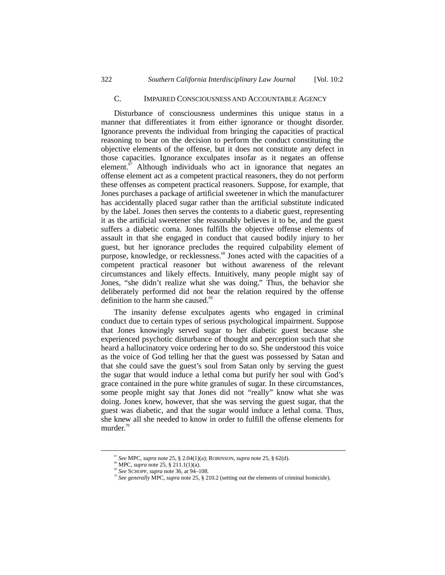#### C. IMPAIRED CONSCIOUSNESS AND ACCOUNTABLE AGENCY

Disturbance of consciousness undermines this unique status in a manner that differentiates it from either ignorance or thought disorder. Ignorance prevents the individual from bringing the capacities of practical reasoning to bear on the decision to perform the conduct constituting the objective elements of the offense, but it does not constitute any defect in those capacities. Ignorance exculpates insofar as it negates an offense element.<sup> $\sigma$ </sup> Although individuals who act in ignorance that negates an offense element act as a competent practical reasoners, they do not perform these offenses as competent practical reasoners. Suppose, for example, that Jones purchases a package of artificial sweetener in which the manufacturer has accidentally placed sugar rather than the artificial substitute indicated by the label. Jones then serves the contents to a diabetic guest, representing it as the artificial sweetener she reasonably believes it to be, and the guest suffers a diabetic coma. Jones fulfills the objective offense elements of assault in that she engaged in conduct that caused bodily injury to her guest, but her ignorance precludes the required culpability element of purpose, knowledge, or recklessness.<sup>68</sup> Jones acted with the capacities of a competent practical reasoner but without awareness of the relevant circumstances and likely effects. Intuitively, many people might say of Jones, "she didn't realize what she was doing." Thus, the behavior she deliberately performed did not bear the relation required by the offense definition to the harm she caused.<sup>69</sup>

The insanity defense exculpates agents who engaged in criminal conduct due to certain types of serious psychological impairment. Suppose that Jones knowingly served sugar to her diabetic guest because she experienced psychotic disturbance of thought and perception such that she heard a hallucinatory voice ordering her to do so. She understood this voice as the voice of God telling her that the guest was possessed by Satan and that she could save the guest's soul from Satan only by serving the guest the sugar that would induce a lethal coma but purify her soul with God's grace contained in the pure white granules of sugar. In these circumstances, some people might say that Jones did not "really" know what she was doing. Jones knew, however, that she was serving the guest sugar, that the guest was diabetic, and that the sugar would induce a lethal coma. Thus, she knew all she needed to know in order to fulfill the offense elements for murder.<sup>70</sup>

<sup>&</sup>lt;sup>67</sup> See MPC, *supra* note 25, § 2.04(1)(a); ROBINSON, *supra* note 25, § 62(d).<br><sup>68</sup> MPC, *supra* note 25, § 211.1(1)(a).<br><sup>69</sup> See SCHOPP, *supra* note 36, at 94–108.

<sup>&</sup>lt;sup>10</sup> See generally MPC, *supra* note 25, § 210.2 (setting out the elements of criminal homicide).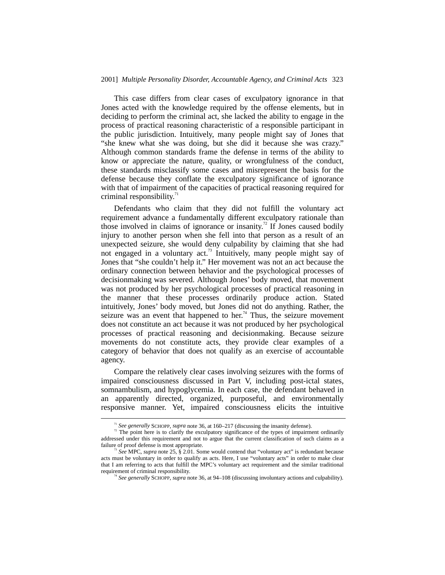#### 2001] *Multiple Personality Disorder, Accountable Agency, and Criminal Acts* 323

This case differs from clear cases of exculpatory ignorance in that Jones acted with the knowledge required by the offense elements, but in deciding to perform the criminal act, she lacked the ability to engage in the process of practical reasoning characteristic of a responsible participant in the public jurisdiction. Intuitively, many people might say of Jones that "she knew what she was doing, but she did it because she was crazy." Although common standards frame the defense in terms of the ability to know or appreciate the nature, quality, or wrongfulness of the conduct, these standards misclassify some cases and misrepresent the basis for the defense because they conflate the exculpatory significance of ignorance with that of impairment of the capacities of practical reasoning required for criminal responsibility. $\frac{7}{1}$ 

Defendants who claim that they did not fulfill the voluntary act requirement advance a fundamentally different exculpatory rationale than those involved in claims of ignorance or insanity.<sup>72</sup> If Jones caused bodily injury to another person when she fell into that person as a result of an unexpected seizure, she would deny culpability by claiming that she had not engaged in a voluntary act.73 Intuitively, many people might say of Jones that "she couldn't help it." Her movement was not an act because the ordinary connection between behavior and the psychological processes of decisionmaking was severed. Although Jones' body moved, that movement was not produced by her psychological processes of practical reasoning in the manner that these processes ordinarily produce action. Stated intuitively, Jones' body moved, but Jones did not do anything. Rather, the seizure was an event that happened to her.<sup>74</sup> Thus, the seizure movement does not constitute an act because it was not produced by her psychological processes of practical reasoning and decisionmaking. Because seizure movements do not constitute acts, they provide clear examples of a category of behavior that does not qualify as an exercise of accountable agency.

Compare the relatively clear cases involving seizures with the forms of impaired consciousness discussed in Part V, including post-ictal states, somnambulism, and hypoglycemia. In each case, the defendant behaved in an apparently directed, organized, purposeful, and environmentally responsive manner. Yet, impaired consciousness elicits the intuitive

<sup>&</sup>lt;sup>71</sup> *See generally* SCHOPP, *supra* note 36, at 160–217 (discussing the insanity defense). <sup>72</sup> The point here is to clarify the exculpatory significance of the types of impairment ordinarily addressed under this requirement and not to argue that the current classification of such claims as a

 $^3$  See MPC, *supra* note 25,  $\hat{\S}$  2.01. Some would contend that "voluntary act" is redundant because acts must be voluntary in order to qualify as acts. Here, I use "voluntary acts" in order to make clear that I am referring to acts that fulfill the MPC's voluntary act requirement and the similar traditional requirement of criminal responsibility.<br><sup>74</sup> *See generally* SCHOPP, *supra* note 36, at 94–108 (discussing involuntary actions and culpability).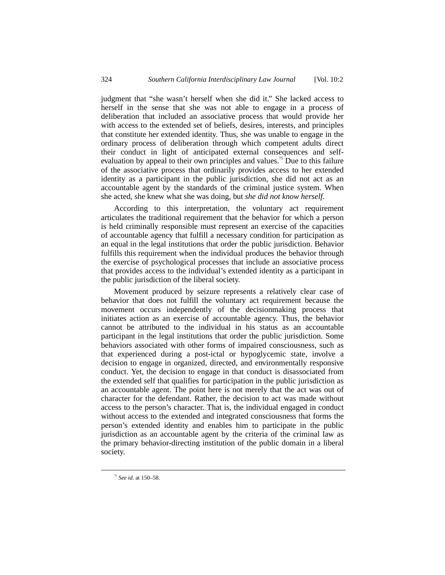judgment that "she wasn't herself when she did it." She lacked access to herself in the sense that she was not able to engage in a process of deliberation that included an associative process that would provide her with access to the extended set of beliefs, desires, interests, and principles that constitute her extended identity. Thus, she was unable to engage in the ordinary process of deliberation through which competent adults direct their conduct in light of anticipated external consequences and selfevaluation by appeal to their own principles and values.<sup>75</sup> Due to this failure of the associative process that ordinarily provides access to her extended identity as a participant in the public jurisdiction, she did not act as an accountable agent by the standards of the criminal justice system. When she acted, she knew what she was doing, but *she did not know herself*.

According to this interpretation, the voluntary act requirement articulates the traditional requirement that the behavior for which a person is held criminally responsible must represent an exercise of the capacities of accountable agency that fulfill a necessary condition for participation as an equal in the legal institutions that order the public jurisdiction. Behavior fulfills this requirement when the individual produces the behavior through the exercise of psychological processes that include an associative process that provides access to the individual's extended identity as a participant in the public jurisdiction of the liberal society.

Movement produced by seizure represents a relatively clear case of behavior that does not fulfill the voluntary act requirement because the movement occurs independently of the decisionmaking process that initiates action as an exercise of accountable agency. Thus, the behavior cannot be attributed to the individual in his status as an accountable participant in the legal institutions that order the public jurisdiction. Some behaviors associated with other forms of impaired consciousness, such as that experienced during a post-ictal or hypoglycemic state, involve a decision to engage in organized, directed, and environmentally responsive conduct. Yet, the decision to engage in that conduct is disassociated from the extended self that qualifies for participation in the public jurisdiction as an accountable agent. The point here is not merely that the act was out of character for the defendant. Rather, the decision to act was made without access to the person's character. That is, the individual engaged in conduct without access to the extended and integrated consciousness that forms the person's extended identity and enables him to participate in the public jurisdiction as an accountable agent by the criteria of the criminal law as the primary behavior-directing institution of the public domain in a liberal society.

 <sup>75</sup> *See id.* at 150–58.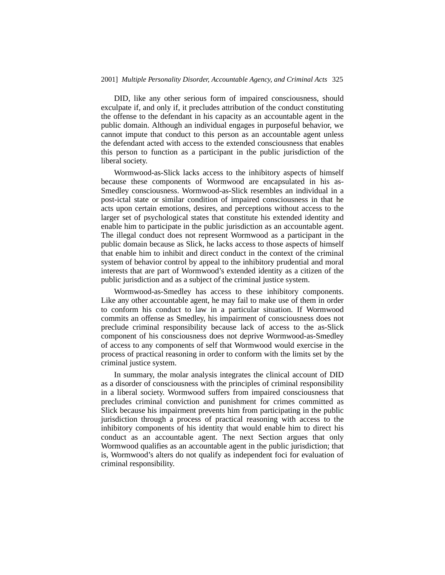DID, like any other serious form of impaired consciousness, should exculpate if, and only if, it precludes attribution of the conduct constituting the offense to the defendant in his capacity as an accountable agent in the public domain. Although an individual engages in purposeful behavior, we cannot impute that conduct to this person as an accountable agent unless the defendant acted with access to the extended consciousness that enables this person to function as a participant in the public jurisdiction of the liberal society.

Wormwood-as-Slick lacks access to the inhibitory aspects of himself because these components of Wormwood are encapsulated in his as-Smedley consciousness. Wormwood-as-Slick resembles an individual in a post-ictal state or similar condition of impaired consciousness in that he acts upon certain emotions, desires, and perceptions without access to the larger set of psychological states that constitute his extended identity and enable him to participate in the public jurisdiction as an accountable agent. The illegal conduct does not represent Wormwood as a participant in the public domain because as Slick, he lacks access to those aspects of himself that enable him to inhibit and direct conduct in the context of the criminal system of behavior control by appeal to the inhibitory prudential and moral interests that are part of Wormwood's extended identity as a citizen of the public jurisdiction and as a subject of the criminal justice system.

Wormwood-as-Smedley has access to these inhibitory components. Like any other accountable agent, he may fail to make use of them in order to conform his conduct to law in a particular situation. If Wormwood commits an offense as Smedley, his impairment of consciousness does not preclude criminal responsibility because lack of access to the as-Slick component of his consciousness does not deprive Wormwood-as-Smedley of access to any components of self that Wormwood would exercise in the process of practical reasoning in order to conform with the limits set by the criminal justice system.

In summary, the molar analysis integrates the clinical account of DID as a disorder of consciousness with the principles of criminal responsibility in a liberal society. Wormwood suffers from impaired consciousness that precludes criminal conviction and punishment for crimes committed as Slick because his impairment prevents him from participating in the public jurisdiction through a process of practical reasoning with access to the inhibitory components of his identity that would enable him to direct his conduct as an accountable agent. The next Section argues that only Wormwood qualifies as an accountable agent in the public jurisdiction; that is, Wormwood's alters do not qualify as independent foci for evaluation of criminal responsibility.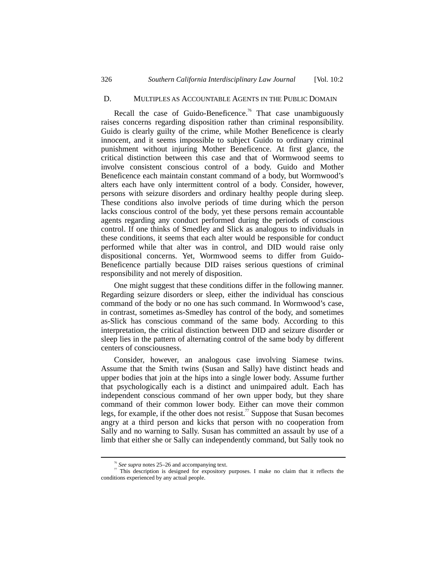#### D. MULTIPLES AS ACCOUNTABLE AGENTS IN THE PUBLIC DOMAIN

Recall the case of Guido-Beneficence.<sup>76</sup> That case unambiguously raises concerns regarding disposition rather than criminal responsibility. Guido is clearly guilty of the crime, while Mother Beneficence is clearly innocent, and it seems impossible to subject Guido to ordinary criminal punishment without injuring Mother Beneficence. At first glance, the critical distinction between this case and that of Wormwood seems to involve consistent conscious control of a body. Guido and Mother Beneficence each maintain constant command of a body, but Wormwood's alters each have only intermittent control of a body. Consider, however, persons with seizure disorders and ordinary healthy people during sleep. These conditions also involve periods of time during which the person lacks conscious control of the body, yet these persons remain accountable agents regarding any conduct performed during the periods of conscious control. If one thinks of Smedley and Slick as analogous to individuals in these conditions, it seems that each alter would be responsible for conduct performed while that alter was in control, and DID would raise only dispositional concerns. Yet, Wormwood seems to differ from Guido-Beneficence partially because DID raises serious questions of criminal responsibility and not merely of disposition.

One might suggest that these conditions differ in the following manner. Regarding seizure disorders or sleep, either the individual has conscious command of the body or no one has such command. In Wormwood's case, in contrast, sometimes as-Smedley has control of the body, and sometimes as-Slick has conscious command of the same body. According to this interpretation, the critical distinction between DID and seizure disorder or sleep lies in the pattern of alternating control of the same body by different centers of consciousness.

Consider, however, an analogous case involving Siamese twins. Assume that the Smith twins (Susan and Sally) have distinct heads and upper bodies that join at the hips into a single lower body. Assume further that psychologically each is a distinct and unimpaired adult. Each has independent conscious command of her own upper body, but they share command of their common lower body. Either can move their common legs, for example, if the other does not resist.<sup>77</sup> Suppose that Susan becomes angry at a third person and kicks that person with no cooperation from Sally and no warning to Sally. Susan has committed an assault by use of a limb that either she or Sally can independently command, but Sally took no

<sup>&</sup>lt;sup>76</sup> See supra notes 25–26 and accompanying text.

 $\overline{7}$  This description is designed for expository purposes. I make no claim that it reflects the conditions experienced by any actual people.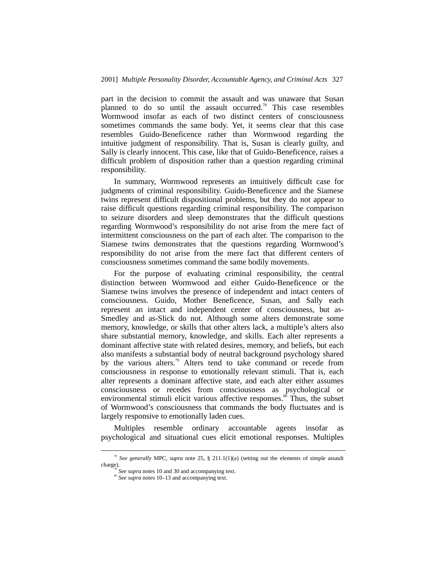part in the decision to commit the assault and was unaware that Susan planned to do so until the assault occurred.<sup>78</sup> This case resembles Wormwood insofar as each of two distinct centers of consciousness sometimes commands the same body. Yet, it seems clear that this case resembles Guido-Beneficence rather than Wormwood regarding the intuitive judgment of responsibility. That is, Susan is clearly guilty, and Sally is clearly innocent. This case, like that of Guido-Beneficence, raises a difficult problem of disposition rather than a question regarding criminal responsibility.

In summary, Wormwood represents an intuitively difficult case for judgments of criminal responsibility. Guido-Beneficence and the Siamese twins represent difficult dispositional problems, but they do not appear to raise difficult questions regarding criminal responsibility. The comparison to seizure disorders and sleep demonstrates that the difficult questions regarding Wormwood's responsibility do not arise from the mere fact of intermittent consciousness on the part of each alter. The comparison to the Siamese twins demonstrates that the questions regarding Wormwood's responsibility do not arise from the mere fact that different centers of consciousness sometimes command the same bodily movements.

For the purpose of evaluating criminal responsibility, the central distinction between Wormwood and either Guido-Beneficence or the Siamese twins involves the presence of independent and intact centers of consciousness. Guido, Mother Beneficence, Susan, and Sally each represent an intact and independent center of consciousness, but as-Smedley and as-Slick do not. Although some alters demonstrate some memory, knowledge, or skills that other alters lack, a multiple's alters also share substantial memory, knowledge, and skills. Each alter represents a dominant affective state with related desires, memory, and beliefs, but each also manifests a substantial body of neutral background psychology shared by the various alters.<sup>79</sup> Alters tend to take command or recede from consciousness in response to emotionally relevant stimuli. That is, each alter represents a dominant affective state, and each alter either assumes consciousness or recedes from consciousness as psychological or environmental stimuli elicit various affective responses.<sup>80</sup> Thus, the subset of Wormwood's consciousness that commands the body fluctuates and is largely responsive to emotionally laden cues.

Multiples resemble ordinary accountable agents insofar as psychological and situational cues elicit emotional responses. Multiples

<sup>&</sup>lt;sup>78</sup> See generally MPC, *supra* note 25, § 211.1(1)(a) (setting out the elements of simple assault charge).<br> $\frac{m}{r^9}$  See supra notes 10 and 30 and accompanying text.

<sup>&</sup>lt;sup>80</sup> *See supra* notes 10–13 and accompanying text.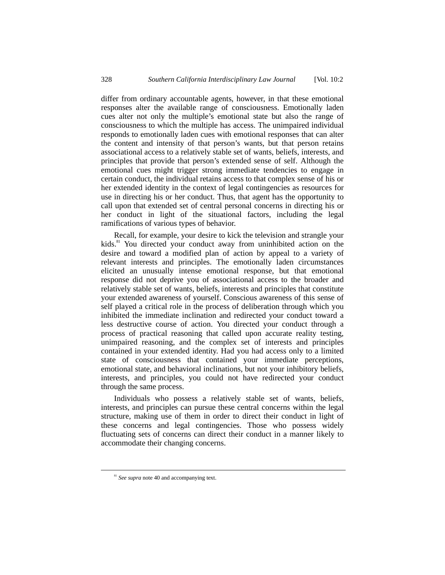differ from ordinary accountable agents, however, in that these emotional responses alter the available range of consciousness. Emotionally laden cues alter not only the multiple's emotional state but also the range of consciousness to which the multiple has access. The unimpaired individual responds to emotionally laden cues with emotional responses that can alter the content and intensity of that person's wants, but that person retains associational access to a relatively stable set of wants, beliefs, interests, and principles that provide that person's extended sense of self. Although the emotional cues might trigger strong immediate tendencies to engage in certain conduct, the individual retains access to that complex sense of his or her extended identity in the context of legal contingencies as resources for use in directing his or her conduct. Thus, that agent has the opportunity to call upon that extended set of central personal concerns in directing his or her conduct in light of the situational factors, including the legal ramifications of various types of behavior.

Recall, for example, your desire to kick the television and strangle your kids.<sup>81</sup> You directed your conduct away from uninhibited action on the desire and toward a modified plan of action by appeal to a variety of relevant interests and principles. The emotionally laden circumstances elicited an unusually intense emotional response, but that emotional response did not deprive you of associational access to the broader and relatively stable set of wants, beliefs, interests and principles that constitute your extended awareness of yourself. Conscious awareness of this sense of self played a critical role in the process of deliberation through which you inhibited the immediate inclination and redirected your conduct toward a less destructive course of action. You directed your conduct through a process of practical reasoning that called upon accurate reality testing, unimpaired reasoning, and the complex set of interests and principles contained in your extended identity. Had you had access only to a limited state of consciousness that contained your immediate perceptions, emotional state, and behavioral inclinations, but not your inhibitory beliefs, interests, and principles, you could not have redirected your conduct through the same process.

Individuals who possess a relatively stable set of wants, beliefs, interests, and principles can pursue these central concerns within the legal structure, making use of them in order to direct their conduct in light of these concerns and legal contingencies. Those who possess widely fluctuating sets of concerns can direct their conduct in a manner likely to accommodate their changing concerns.

<sup>&</sup>lt;sup>81</sup> See supra note 40 and accompanying text.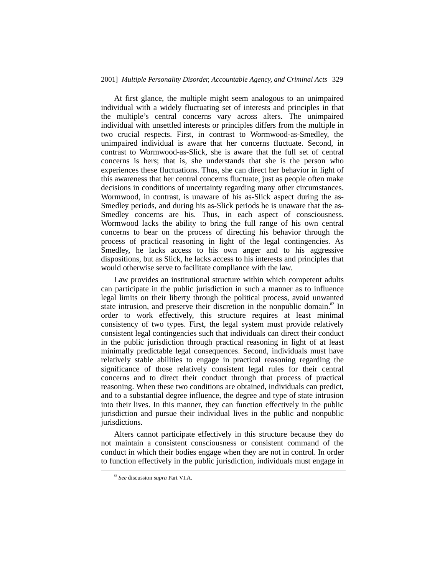#### 2001] *Multiple Personality Disorder, Accountable Agency, and Criminal Acts* 329

At first glance, the multiple might seem analogous to an unimpaired individual with a widely fluctuating set of interests and principles in that the multiple's central concerns vary across alters. The unimpaired individual with unsettled interests or principles differs from the multiple in two crucial respects. First, in contrast to Wormwood-as-Smedley, the unimpaired individual is aware that her concerns fluctuate. Second, in contrast to Wormwood-as-Slick, she is aware that the full set of central concerns is hers; that is, she understands that she is the person who experiences these fluctuations. Thus, she can direct her behavior in light of this awareness that her central concerns fluctuate, just as people often make decisions in conditions of uncertainty regarding many other circumstances. Wormwood, in contrast, is unaware of his as-Slick aspect during the as-Smedley periods, and during his as-Slick periods he is unaware that the as-Smedley concerns are his. Thus, in each aspect of consciousness. Wormwood lacks the ability to bring the full range of his own central concerns to bear on the process of directing his behavior through the process of practical reasoning in light of the legal contingencies. As Smedley, he lacks access to his own anger and to his aggressive dispositions, but as Slick, he lacks access to his interests and principles that would otherwise serve to facilitate compliance with the law.

Law provides an institutional structure within which competent adults can participate in the public jurisdiction in such a manner as to influence legal limits on their liberty through the political process, avoid unwanted state intrusion, and preserve their discretion in the nonpublic domain.<sup>82</sup> In order to work effectively, this structure requires at least minimal consistency of two types. First, the legal system must provide relatively consistent legal contingencies such that individuals can direct their conduct in the public jurisdiction through practical reasoning in light of at least minimally predictable legal consequences. Second, individuals must have relatively stable abilities to engage in practical reasoning regarding the significance of those relatively consistent legal rules for their central concerns and to direct their conduct through that process of practical reasoning. When these two conditions are obtained, individuals can predict, and to a substantial degree influence, the degree and type of state intrusion into their lives. In this manner, they can function effectively in the public jurisdiction and pursue their individual lives in the public and nonpublic jurisdictions.

Alters cannot participate effectively in this structure because they do not maintain a consistent consciousness or consistent command of the conduct in which their bodies engage when they are not in control. In order to function effectively in the public jurisdiction, individuals must engage in

 <sup>82</sup> *See* discussion *supra* Part VI.A.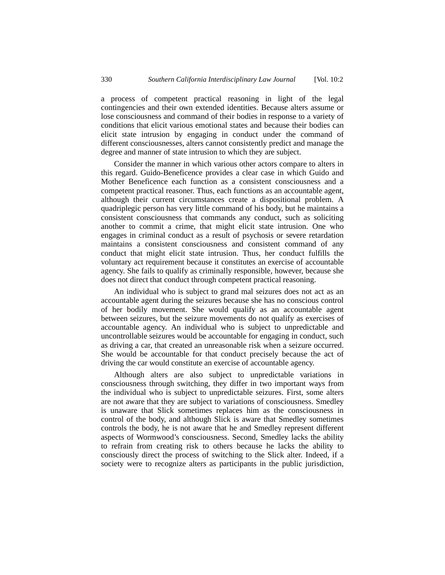a process of competent practical reasoning in light of the legal contingencies and their own extended identities. Because alters assume or lose consciousness and command of their bodies in response to a variety of conditions that elicit various emotional states and because their bodies can elicit state intrusion by engaging in conduct under the command of different consciousnesses, alters cannot consistently predict and manage the degree and manner of state intrusion to which they are subject.

Consider the manner in which various other actors compare to alters in this regard. Guido-Beneficence provides a clear case in which Guido and Mother Beneficence each function as a consistent consciousness and a competent practical reasoner. Thus, each functions as an accountable agent, although their current circumstances create a dispositional problem. A quadriplegic person has very little command of his body, but he maintains a consistent consciousness that commands any conduct, such as soliciting another to commit a crime, that might elicit state intrusion. One who engages in criminal conduct as a result of psychosis or severe retardation maintains a consistent consciousness and consistent command of any conduct that might elicit state intrusion. Thus, her conduct fulfills the voluntary act requirement because it constitutes an exercise of accountable agency. She fails to qualify as criminally responsible, however, because she does not direct that conduct through competent practical reasoning.

An individual who is subject to grand mal seizures does not act as an accountable agent during the seizures because she has no conscious control of her bodily movement. She would qualify as an accountable agent between seizures, but the seizure movements do not qualify as exercises of accountable agency. An individual who is subject to unpredictable and uncontrollable seizures would be accountable for engaging in conduct, such as driving a car, that created an unreasonable risk when a seizure occurred. She would be accountable for that conduct precisely because the act of driving the car would constitute an exercise of accountable agency.

Although alters are also subject to unpredictable variations in consciousness through switching, they differ in two important ways from the individual who is subject to unpredictable seizures. First, some alters are not aware that they are subject to variations of consciousness. Smedley is unaware that Slick sometimes replaces him as the consciousness in control of the body, and although Slick is aware that Smedley sometimes controls the body, he is not aware that he and Smedley represent different aspects of Wormwood's consciousness. Second, Smedley lacks the ability to refrain from creating risk to others because he lacks the ability to consciously direct the process of switching to the Slick alter. Indeed, if a society were to recognize alters as participants in the public jurisdiction,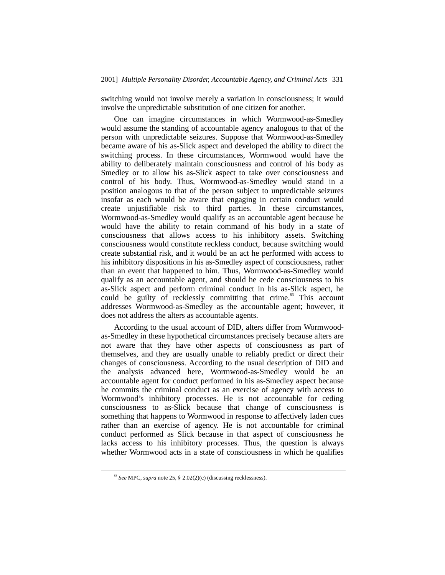switching would not involve merely a variation in consciousness; it would involve the unpredictable substitution of one citizen for another.

One can imagine circumstances in which Wormwood-as-Smedley would assume the standing of accountable agency analogous to that of the person with unpredictable seizures. Suppose that Wormwood-as-Smedley became aware of his as-Slick aspect and developed the ability to direct the switching process. In these circumstances, Wormwood would have the ability to deliberately maintain consciousness and control of his body as Smedley or to allow his as-Slick aspect to take over consciousness and control of his body. Thus, Wormwood-as-Smedley would stand in a position analogous to that of the person subject to unpredictable seizures insofar as each would be aware that engaging in certain conduct would create unjustifiable risk to third parties. In these circumstances, Wormwood-as-Smedley would qualify as an accountable agent because he would have the ability to retain command of his body in a state of consciousness that allows access to his inhibitory assets. Switching consciousness would constitute reckless conduct, because switching would create substantial risk, and it would be an act he performed with access to his inhibitory dispositions in his as-Smedley aspect of consciousness, rather than an event that happened to him. Thus, Wormwood-as-Smedley would qualify as an accountable agent, and should he cede consciousness to his as-Slick aspect and perform criminal conduct in his as-Slick aspect, he could be guilty of recklessly committing that crime.<sup>83</sup> This account addresses Wormwood-as-Smedley as the accountable agent; however, it does not address the alters as accountable agents.

According to the usual account of DID, alters differ from Wormwoodas-Smedley in these hypothetical circumstances precisely because alters are not aware that they have other aspects of consciousness as part of themselves, and they are usually unable to reliably predict or direct their changes of consciousness. According to the usual description of DID and the analysis advanced here, Wormwood-as-Smedley would be an accountable agent for conduct performed in his as-Smedley aspect because he commits the criminal conduct as an exercise of agency with access to Wormwood's inhibitory processes. He is not accountable for ceding consciousness to as-Slick because that change of consciousness is something that happens to Wormwood in response to affectively laden cues rather than an exercise of agency. He is not accountable for criminal conduct performed as Slick because in that aspect of consciousness he lacks access to his inhibitory processes. Thus, the question is always whether Wormwood acts in a state of consciousness in which he qualifies

 <sup>83</sup> *See* MPC, *supra* note 25, § 2.02(2)(c) (discussing recklessness).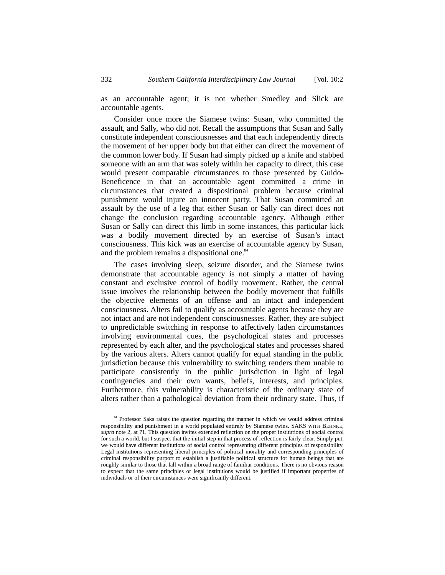as an accountable agent; it is not whether Smedley and Slick are accountable agents.

Consider once more the Siamese twins: Susan, who committed the assault, and Sally, who did not. Recall the assumptions that Susan and Sally constitute independent consciousnesses and that each independently directs the movement of her upper body but that either can direct the movement of the common lower body. If Susan had simply picked up a knife and stabbed someone with an arm that was solely within her capacity to direct, this case would present comparable circumstances to those presented by Guido-Beneficence in that an accountable agent committed a crime in circumstances that created a dispositional problem because criminal punishment would injure an innocent party. That Susan committed an assault by the use of a leg that either Susan or Sally can direct does not change the conclusion regarding accountable agency. Although either Susan or Sally can direct this limb in some instances, this particular kick was a bodily movement directed by an exercise of Susan's intact consciousness. This kick was an exercise of accountable agency by Susan, and the problem remains a dispositional one.<sup>84</sup>

The cases involving sleep, seizure disorder, and the Siamese twins demonstrate that accountable agency is not simply a matter of having constant and exclusive control of bodily movement. Rather, the central issue involves the relationship between the bodily movement that fulfills the objective elements of an offense and an intact and independent consciousness. Alters fail to qualify as accountable agents because they are not intact and are not independent consciousnesses. Rather, they are subject to unpredictable switching in response to affectively laden circumstances involving environmental cues, the psychological states and processes represented by each alter, and the psychological states and processes shared by the various alters. Alters cannot qualify for equal standing in the public jurisdiction because this vulnerability to switching renders them unable to participate consistently in the public jurisdiction in light of legal contingencies and their own wants, beliefs, interests, and principles. Furthermore, this vulnerability is characteristic of the ordinary state of alters rather than a pathological deviation from their ordinary state. Thus, if

<sup>&</sup>lt;sup>84</sup> Professor Saks raises the question regarding the manner in which we would address criminal responsibility and punishment in a world populated entirely by Siamese twins. SAKS WITH BEHNKE, *supra* note 2, at 71. This question invites extended reflection on the proper institutions of social control for such a world, but I suspect that the initial step in that process of reflection is fairly clear. Simply put, we would have different institutions of social control representing different principles of responsibility. Legal institutions representing liberal principles of political morality and corresponding principles of criminal responsibility purport to establish a justifiable political structure for human beings that are roughly similar to those that fall within a broad range of familiar conditions. There is no obvious reason to expect that the same principles or legal institutions would be justified if important properties of individuals or of their circumstances were significantly different.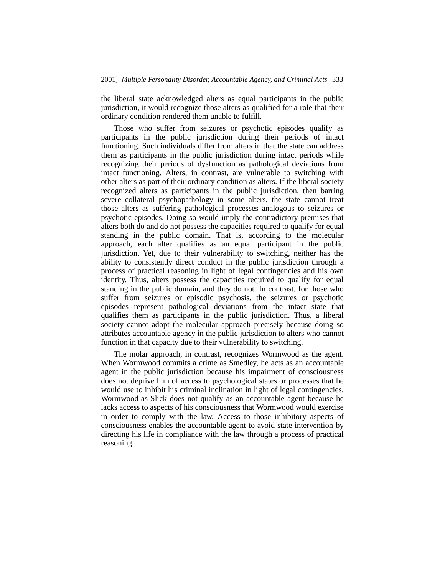the liberal state acknowledged alters as equal participants in the public jurisdiction, it would recognize those alters as qualified for a role that their ordinary condition rendered them unable to fulfill.

Those who suffer from seizures or psychotic episodes qualify as participants in the public jurisdiction during their periods of intact functioning. Such individuals differ from alters in that the state can address them as participants in the public jurisdiction during intact periods while recognizing their periods of dysfunction as pathological deviations from intact functioning. Alters, in contrast, are vulnerable to switching with other alters as part of their ordinary condition as alters. If the liberal society recognized alters as participants in the public jurisdiction, then barring severe collateral psychopathology in some alters, the state cannot treat those alters as suffering pathological processes analogous to seizures or psychotic episodes. Doing so would imply the contradictory premises that alters both do and do not possess the capacities required to qualify for equal standing in the public domain. That is, according to the molecular approach, each alter qualifies as an equal participant in the public jurisdiction. Yet, due to their vulnerability to switching, neither has the ability to consistently direct conduct in the public jurisdiction through a process of practical reasoning in light of legal contingencies and his own identity. Thus, alters possess the capacities required to qualify for equal standing in the public domain, and they do not. In contrast, for those who suffer from seizures or episodic psychosis, the seizures or psychotic episodes represent pathological deviations from the intact state that qualifies them as participants in the public jurisdiction. Thus, a liberal society cannot adopt the molecular approach precisely because doing so attributes accountable agency in the public jurisdiction to alters who cannot function in that capacity due to their vulnerability to switching.

The molar approach, in contrast, recognizes Wormwood as the agent. When Wormwood commits a crime as Smedley, he acts as an accountable agent in the public jurisdiction because his impairment of consciousness does not deprive him of access to psychological states or processes that he would use to inhibit his criminal inclination in light of legal contingencies. Wormwood-as-Slick does not qualify as an accountable agent because he lacks access to aspects of his consciousness that Wormwood would exercise in order to comply with the law. Access to those inhibitory aspects of consciousness enables the accountable agent to avoid state intervention by directing his life in compliance with the law through a process of practical reasoning.